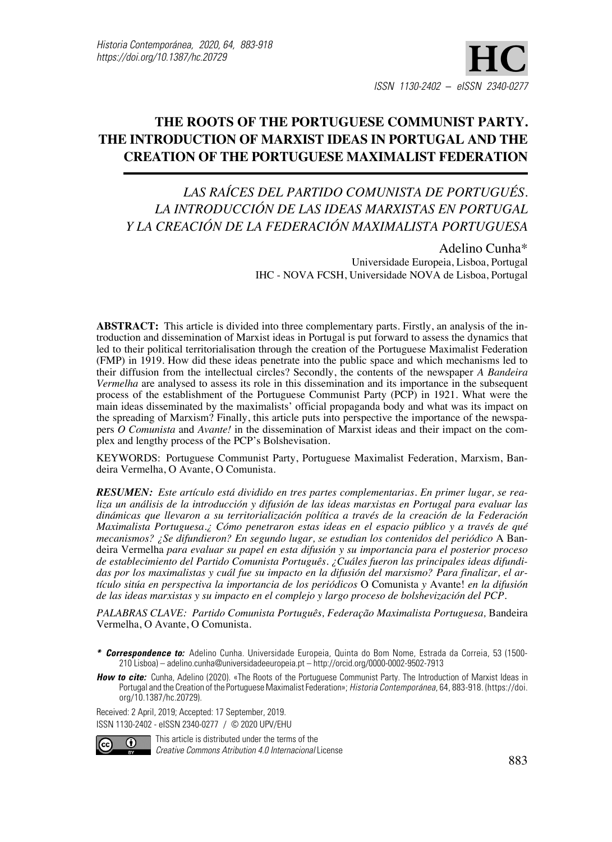# **The Roots of the Portuguese Communist Party. The Introduction of Marxist Ideas in Portugal and the Creation of the Portuguese Maximalist Federation**

# *Las raíces del Partido Comunista de Portugués. La introducción de las ideas marxistas en Portugal y la creación de la Federación Maximalista Portuguesa*

Adelino Cunha\* Universidade Europeia, Lisboa, Portugal IHC - NOVA FCSH, Universidade NOVA de Lisboa, Portugal

**Abstract:** This article is divided into three complementary parts. Firstly, an analysis of the introduction and dissemination of Marxist ideas in Portugal is put forward to assess the dynamics that led to their political territorialisation through the creation of the Portuguese Maximalist Federation (FMP) in 1919. How did these ideas penetrate into the public space and which mechanisms led to their diffusion from the intellectual circles? Secondly, the contents of the newspaper *A Bandeira Vermelha* are analysed to assess its role in this dissemination and its importance in the subsequent process of the establishment of the Portuguese Communist Party (PCP) in 1921. What were the main ideas disseminated by the maximalists' official propaganda body and what was its impact on the spreading of Marxism? Finally, this article puts into perspective the importance of the newspapers *O Comunista* and *Avante!* in the dissemination of Marxist ideas and their impact on the complex and lengthy process of the PCP's Bolshevisation.

Keywords: Portuguese Communist Party, Portuguese Maximalist Federation, Marxism, Bandeira Vermelha, O Avante, O Comunista.

*Resumen: Este artículo está dividido en tres partes complementarias. En primer lugar, se realiza un análisis de la introducción y difusión de las ideas marxistas en Portugal para evaluar las dinámicas que llevaron a su territorialización política a través de la creación de la Federación Maximalista Portuguesa.¿ Cómo penetraron estas ideas en el espacio público y a través de qué mecanismos? ¿Se difundieron? En segundo lugar, se estudian los contenidos del periódico* A Bandeira Vermelha *para evaluar su papel en esta difusión y su importancia para el posterior proceso de establecimiento del Partido Comunista Português. ¿Cuáles fueron las principales ideas difundidas por los maximalistas y cuál fue su impacto en la difusión del marxismo? Para finalizar, el artículo sitúa en perspectiva la importancia de los periódicos* O Comunista *y* Avante! *en la difusión de las ideas marxistas y su impacto en el complejo y largo proceso de bolshevización del PCP.*

*Palabras clave: Partido Comunista Português, Federação Maximalista Portuguesa,* Bandeira Vermelha, O Avante, O Comunista.

*How to cite:* Cunha, Adelino (2020). «The Roots of the Portuguese Communist Party. The Introduction of Marxist Ideas in Portugal and the Creation of the Portuguese Maximalist Federation»; *Historia Contemporánea*, 64, 883-918. (https://doi. org/10.1387/hc.20729).

Received: 2 April, 2019; Accepted: 17 September, 2019. ISSN 1130-2402 - eISSN 2340-0277 / © 2020 UPV/EHU



This article is distributed under the terms of the *Creative Commons Atribution 4.0 Internacional License* 

*<sup>\*</sup> Correspondence to:* Adelino Cunha. Universidade Europeia, Quinta do Bom Nome, Estrada da Correia, 53 (1500- 210 Lisboa) – adelino.cunha@universidadeeuropeia.pt – http://orcid.org/0000-0002-9502-7913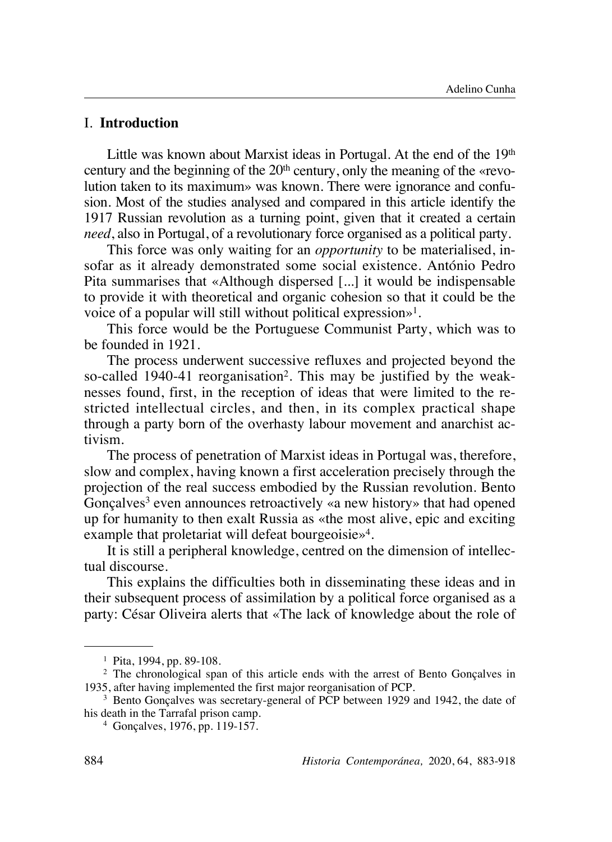## I. **Introduction**

Little was known about Marxist ideas in Portugal. At the end of the 19<sup>th</sup> century and the beginning of the  $20<sup>th</sup>$  century, only the meaning of the «revolution taken to its maximum» was known. There were ignorance and confusion. Most of the studies analysed and compared in this article identify the 1917 Russian revolution as a turning point, given that it created a certain *need*, also in Portugal, of a revolutionary force organised as a political party.

This force was only waiting for an *opportunity* to be materialised, insofar as it already demonstrated some social existence. António Pedro Pita summarises that «Although dispersed [...] it would be indispensable to provide it with theoretical and organic cohesion so that it could be the voice of a popular will still without political expression»1.

This force would be the Portuguese Communist Party, which was to be founded in 1921.

The process underwent successive refluxes and projected beyond the so-called 1940-41 reorganisation<sup>2</sup>. This may be justified by the weaknesses found, first, in the reception of ideas that were limited to the restricted intellectual circles, and then, in its complex practical shape through a party born of the overhasty labour movement and anarchist activism.

The process of penetration of Marxist ideas in Portugal was, therefore, slow and complex, having known a first acceleration precisely through the projection of the real success embodied by the Russian revolution. Bento  $G$ onçalves<sup>3</sup> even announces retroactively «a new history» that had opened up for humanity to then exalt Russia as «the most alive, epic and exciting example that proletariat will defeat bourgeoisie<sup>4</sup>.

It is still a peripheral knowledge, centred on the dimension of intellectual discourse.

This explains the difficulties both in disseminating these ideas and in their subsequent process of assimilation by a political force organised as a party: César Oliveira alerts that «The lack of knowledge about the role of

<sup>1</sup> Pita, 1994, pp. 89-108.

<sup>2</sup> The chronological span of this article ends with the arrest of Bento Gonçalves in 1935, after having implemented the first major reorganisation of PCP.

<sup>3</sup> Bento Gonçalves was secretary-general of PCP between 1929 and 1942, the date of his death in the Tarrafal prison camp.

<sup>4</sup> Gonçalves, 1976, pp. 119-157.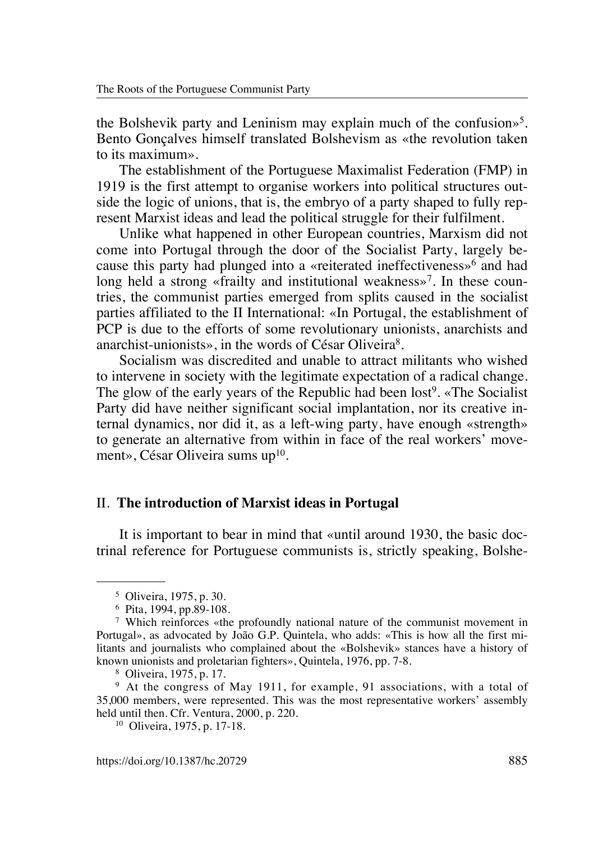the Bolshevik party and Leninism may explain much of the confusion $\frac{1}{2}$ . Bento Gonçalves himself translated Bolshevism as «the revolution taken to its maximum».

The establishment of the Portuguese Maximalist Federation (FMP) in 1919 is the first attempt to organise workers into political structures outside the logic of unions, that is, the embryo of a party shaped to fully represent Marxist ideas and lead the political struggle for their fulfilment.

Unlike what happened in other European countries, Marxism did not come into Portugal through the door of the Socialist Party, largely because this party had plunged into a «reiterated ineffectiveness»6 and had long held a strong «frailty and institutional weakness»<sup>7</sup>. In these countries, the communist parties emerged from splits caused in the socialist parties affiliated to the II International: «In Portugal, the establishment of PCP is due to the efforts of some revolutionary unionists, anarchists and anarchist-unionists», in the words of César Oliveira8.

Socialism was discredited and unable to attract militants who wished to intervene in society with the legitimate expectation of a radical change. The glow of the early years of the Republic had been lost<sup>9</sup>. «The Socialist Party did have neither significant social implantation, nor its creative internal dynamics, nor did it, as a left-wing party, have enough «strength» to generate an alternative from within in face of the real workers' movement», César Oliveira sums up<sup>10</sup>.

#### II. **The introduction of Marxist ideas in Portugal**

It is important to bear in mind that «until around 1930, the basic doctrinal reference for Portuguese communists is, strictly speaking, Bolshe-

<sup>5</sup> Oliveira, 1975, p. 30.

<sup>6</sup> Pita, 1994, pp.89-108.

<sup>7</sup> Which reinforces «the profoundly national nature of the communist movement in Portugal», as advocated by João G.P. Quintela, who adds: «This is how all the first militants and journalists who complained about the «Bolshevik» stances have a history of known unionists and proletarian fighters», Quintela, 1976, pp. 7-8.

<sup>8</sup> Oliveira, 1975, p. 17.

<sup>&</sup>lt;sup>9</sup> At the congress of May 1911, for example, 91 associations, with a total of 35,000 members, were represented. This was the most representative workers' assembly held until then. Cfr. Ventura, 2000, p. 220.

<sup>10</sup> Oliveira, 1975, p. 17-18.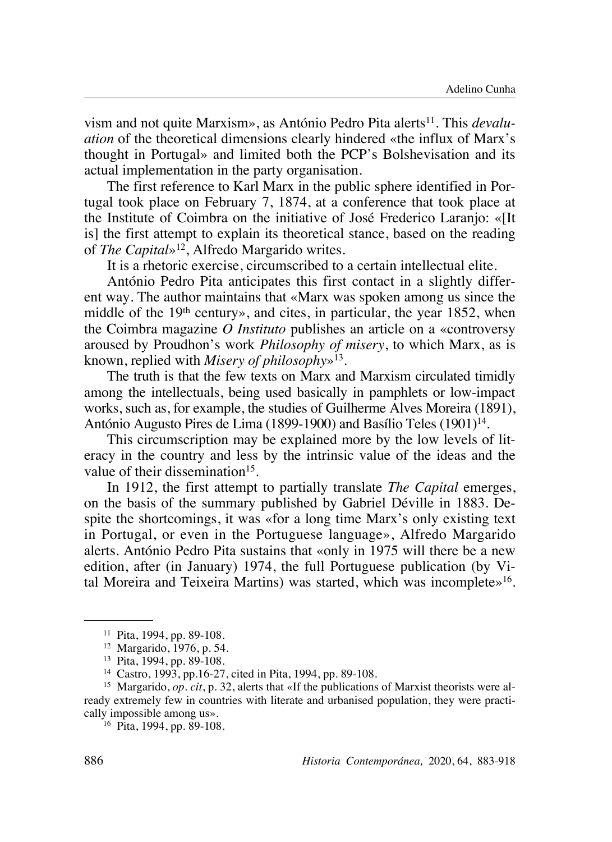vism and not quite Marxism», as António Pedro Pita alerts<sup>11</sup>. This *devaluation* of the theoretical dimensions clearly hindered «the influx of Marx's thought in Portugal» and limited both the PCP's Bolshevisation and its actual implementation in the party organisation.

The first reference to Karl Marx in the public sphere identified in Portugal took place on February 7, 1874, at a conference that took place at the Institute of Coimbra on the initiative of José Frederico Laranjo: «[It is] the first attempt to explain its theoretical stance, based on the reading of *The Capital*»12, Alfredo Margarido writes.

It is a rhetoric exercise, circumscribed to a certain intellectual elite.

António Pedro Pita anticipates this first contact in a slightly different way. The author maintains that «Marx was spoken among us since the middle of the 19th century», and cites, in particular, the year 1852, when the Coimbra magazine *O Instituto* publishes an article on a «controversy aroused by Proudhon's work *Philosophy of misery*, to which Marx, as is known, replied with *Misery of philosophy*»13.

The truth is that the few texts on Marx and Marxism circulated timidly among the intellectuals, being used basically in pamphlets or low-impact works, such as, for example, the studies of Guilherme Alves Moreira (1891), António Augusto Pires de Lima (1899-1900) and Basílio Teles (1901)<sup>14</sup>.

This circumscription may be explained more by the low levels of literacy in the country and less by the intrinsic value of the ideas and the value of their dissemination<sup>15</sup>.

In 1912, the first attempt to partially translate *The Capital* emerges, on the basis of the summary published by Gabriel Déville in 1883. Despite the shortcomings, it was «for a long time Marx's only existing text in Portugal, or even in the Portuguese language», Alfredo Margarido alerts. António Pedro Pita sustains that «only in 1975 will there be a new edition, after (in January) 1974, the full Portuguese publication (by Vital Moreira and Teixeira Martins) was started, which was incomplete»16.

<sup>16</sup> Pita, 1994, pp. 89-108.

<sup>11</sup> Pita, 1994, pp. 89-108.

<sup>12</sup> Margarido, 1976, p. 54.

<sup>13</sup> Pita, 1994, pp. 89-108.

<sup>14</sup> Castro, 1993, pp.16-27, cited in Pita, 1994, pp. 89-108.

<sup>15</sup> Margarido, *op. cit*, p. 32, alerts that «If the publications of Marxist theorists were already extremely few in countries with literate and urbanised population, they were practically impossible among us».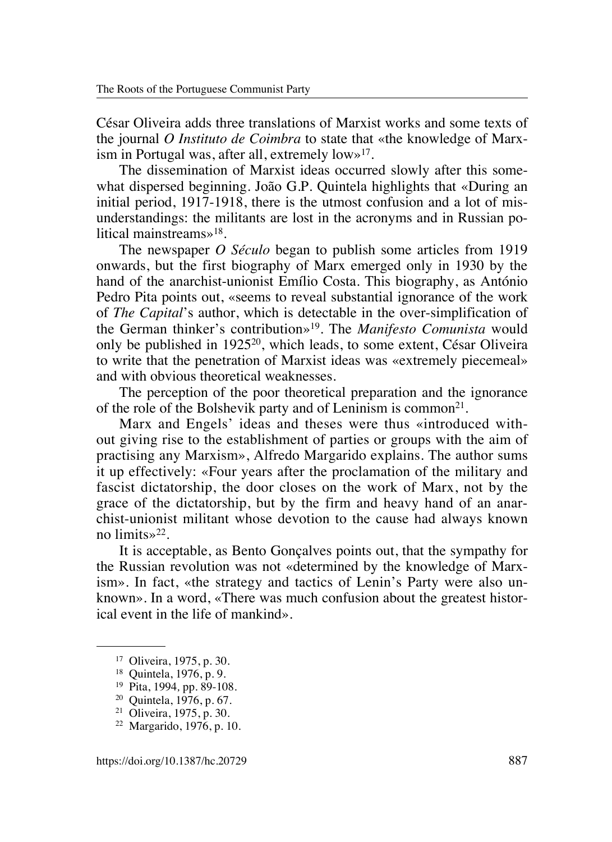César Oliveira adds three translations of Marxist works and some texts of the journal *O Instituto de Coimbra* to state that «the knowledge of Marxism in Portugal was, after all, extremely  $low\gg 17$ .

The dissemination of Marxist ideas occurred slowly after this somewhat dispersed beginning. João G.P. Quintela highlights that «During an initial period, 1917-1918, there is the utmost confusion and a lot of misunderstandings: the militants are lost in the acronyms and in Russian political mainstreams»18.

The newspaper *O Século* began to publish some articles from 1919 onwards, but the first biography of Marx emerged only in 1930 by the hand of the anarchist-unionist Emílio Costa. This biography, as António Pedro Pita points out, «seems to reveal substantial ignorance of the work of *The Capital*'s author, which is detectable in the over-simplification of the German thinker's contribution»19. The *Manifesto Comunista* would only be published in 192520, which leads, to some extent, César Oliveira to write that the penetration of Marxist ideas was «extremely piecemeal» and with obvious theoretical weaknesses.

The perception of the poor theoretical preparation and the ignorance of the role of the Bolshevik party and of Leninism is common<sup>21</sup>.

Marx and Engels' ideas and theses were thus «introduced without giving rise to the establishment of parties or groups with the aim of practising any Marxism», Alfredo Margarido explains. The author sums it up effectively: «Four years after the proclamation of the military and fascist dictatorship, the door closes on the work of Marx, not by the grace of the dictatorship, but by the firm and heavy hand of an anarchist-unionist militant whose devotion to the cause had always known no limits»22.

It is acceptable, as Bento Gonçalves points out, that the sympathy for the Russian revolution was not «determined by the knowledge of Marxism». In fact, «the strategy and tactics of Lenin's Party were also unknown». In a word, «There was much confusion about the greatest historical event in the life of mankind».

<sup>17</sup> Oliveira, 1975, p. 30.

<sup>18</sup> Quintela, 1976, p. 9.

<sup>19</sup> Pita, 1994*,* pp. 89-108.

<sup>20</sup> Quintela, 1976, p. 67.

<sup>21</sup> Oliveira, 1975, p. 30.

<sup>22</sup> Margarido, 1976, p. 10.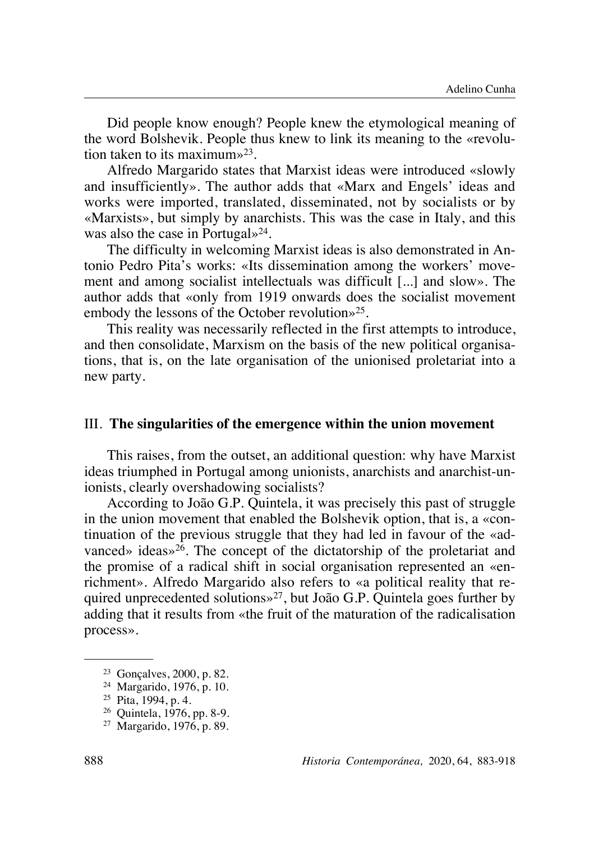Did people know enough? People knew the etymological meaning of the word Bolshevik. People thus knew to link its meaning to the «revolution taken to its maximum»23.

Alfredo Margarido states that Marxist ideas were introduced «slowly and insufficiently». The author adds that «Marx and Engels' ideas and works were imported, translated, disseminated, not by socialists or by «Marxists», but simply by anarchists. This was the case in Italy, and this was also the case in Portugal $\frac{1}{2}$ .

The difficulty in welcoming Marxist ideas is also demonstrated in Antonio Pedro Pita's works: «Its dissemination among the workers' movement and among socialist intellectuals was difficult [...] and slow». The author adds that «only from 1919 onwards does the socialist movement embody the lessons of the October revolution»25.

This reality was necessarily reflected in the first attempts to introduce, and then consolidate, Marxism on the basis of the new political organisations, that is, on the late organisation of the unionised proletariat into a new party.

#### III. **The singularities of the emergence within the union movement**

This raises, from the outset, an additional question: why have Marxist ideas triumphed in Portugal among unionists, anarchists and anarchist-unionists, clearly overshadowing socialists?

According to João G.P. Quintela, it was precisely this past of struggle in the union movement that enabled the Bolshevik option, that is, a «continuation of the previous struggle that they had led in favour of the «advanced» ideas» $26$ . The concept of the dictatorship of the proletariat and the promise of a radical shift in social organisation represented an «enrichment». Alfredo Margarido also refers to «a political reality that required unprecedented solutions»27, but João G.P. Quintela goes further by adding that it results from «the fruit of the maturation of the radicalisation process».

<sup>23</sup> Gonçalves, 2000, p. 82.

<sup>24</sup> Margarido, 1976, p. 10.

<sup>25</sup> Pita, 1994, p. 4.

<sup>26</sup> Quintela, 1976, pp. 8-9.

<sup>27</sup> Margarido, 1976, p. 89.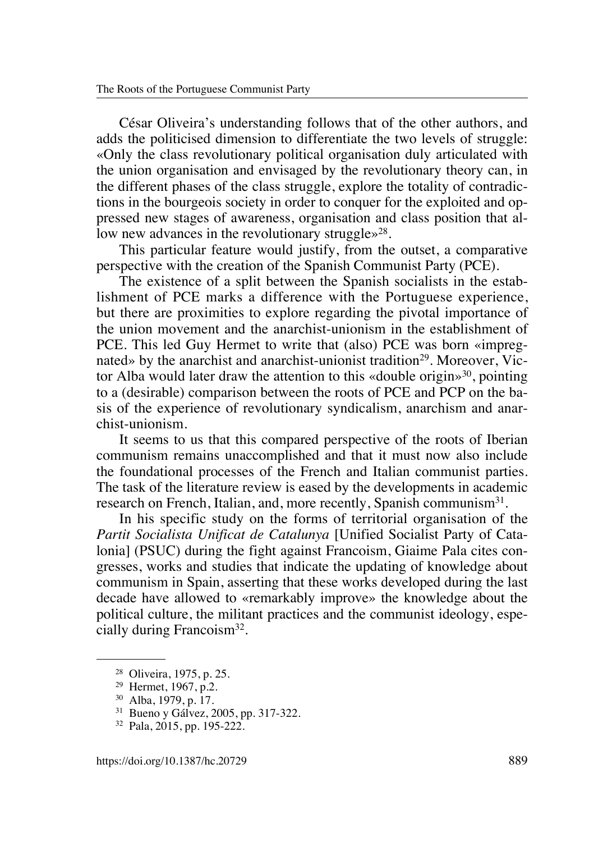César Oliveira's understanding follows that of the other authors, and adds the politicised dimension to differentiate the two levels of struggle: «Only the class revolutionary political organisation duly articulated with the union organisation and envisaged by the revolutionary theory can, in the different phases of the class struggle, explore the totality of contradictions in the bourgeois society in order to conquer for the exploited and oppressed new stages of awareness, organisation and class position that allow new advances in the revolutionary struggle $\gg^{28}$ .

This particular feature would justify, from the outset, a comparative perspective with the creation of the Spanish Communist Party (PCE).

The existence of a split between the Spanish socialists in the establishment of PCE marks a difference with the Portuguese experience, but there are proximities to explore regarding the pivotal importance of the union movement and the anarchist-unionism in the establishment of PCE. This led Guy Hermet to write that (also) PCE was born «impregnated» by the anarchist and anarchist-unionist tradition<sup>29</sup>. Moreover, Victor Alba would later draw the attention to this «double origin»<sup>30</sup>, pointing to a (desirable) comparison between the roots of PCE and PCP on the basis of the experience of revolutionary syndicalism, anarchism and anarchist-unionism.

It seems to us that this compared perspective of the roots of Iberian communism remains unaccomplished and that it must now also include the foundational processes of the French and Italian communist parties. The task of the literature review is eased by the developments in academic research on French, Italian, and, more recently, Spanish communism<sup>31</sup>.

In his specific study on the forms of territorial organisation of the *Partit Socialista Unificat de Catalunya* [Unified Socialist Party of Catalonia] (PSUC) during the fight against Francoism, Giaime Pala cites congresses, works and studies that indicate the updating of knowledge about communism in Spain, asserting that these works developed during the last decade have allowed to «remarkably improve» the knowledge about the political culture, the militant practices and the communist ideology, especially during Francoism32.

<sup>28</sup> Oliveira, 1975, p. 25.

<sup>29</sup> Hermet, 1967, p.2.

<sup>30</sup> Alba, 1979, p. 17.

<sup>31</sup> Bueno y Gálvez, 2005, pp. 317-322.

<sup>32</sup> Pala, 2015, pp. 195-222.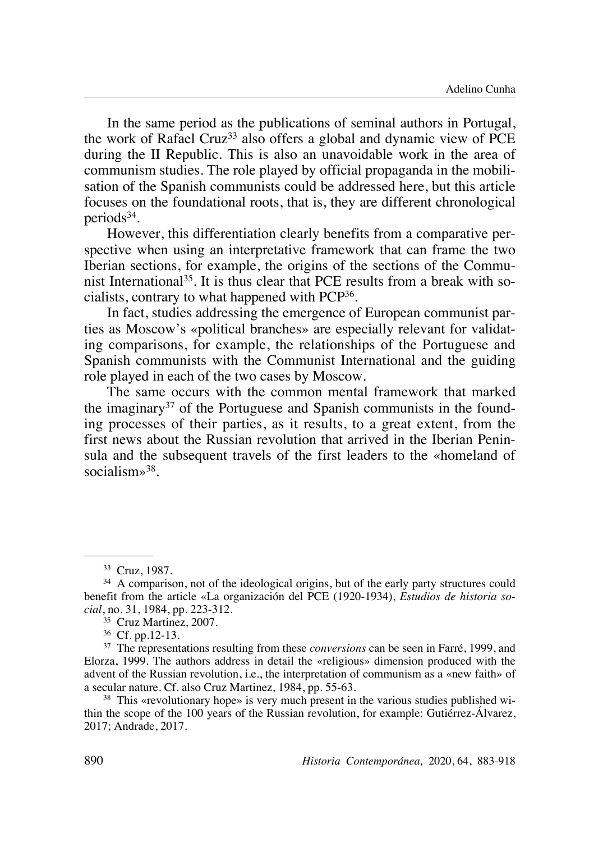In the same period as the publications of seminal authors in Portugal, the work of Rafael Cruz<sup>33</sup> also offers a global and dynamic view of PCE during the II Republic. This is also an unavoidable work in the area of communism studies. The role played by official propaganda in the mobilisation of the Spanish communists could be addressed here, but this article focuses on the foundational roots, that is, they are different chronological periods $34$ .

However, this differentiation clearly benefits from a comparative perspective when using an interpretative framework that can frame the two Iberian sections, for example, the origins of the sections of the Communist International<sup>35</sup>. It is thus clear that PCE results from a break with socialists, contrary to what happened with PCP36.

In fact, studies addressing the emergence of European communist parties as Moscow's «political branches» are especially relevant for validating comparisons, for example, the relationships of the Portuguese and Spanish communists with the Communist International and the guiding role played in each of the two cases by Moscow.

The same occurs with the common mental framework that marked the imaginary37 of the Portuguese and Spanish communists in the founding processes of their parties, as it results, to a great extent, from the first news about the Russian revolution that arrived in the Iberian Peninsula and the subsequent travels of the first leaders to the «homeland of socialism»<sup>38</sup>.

<sup>38</sup> This «revolutionary hope» is very much present in the various studies published within the scope of the 100 years of the Russian revolution, for example: Gutiérrez-Álvarez, 2017; Andrade, 2017.

<sup>33</sup> Cruz, 1987.

<sup>&</sup>lt;sup>34</sup> A comparison, not of the ideological origins, but of the early party structures could benefit from the article «La organización del PCE (1920-1934), *Estudios de historia social*, no. 31, 1984, pp. 223-312.

<sup>35</sup> Cruz Martinez, 2007.

<sup>36</sup> Cf. pp.12-13.

<sup>37</sup> The representations resulting from these *conversions* can be seen in Farré, 1999, and Elorza, 1999. The authors address in detail the «religious» dimension produced with the advent of the Russian revolution, i.e., the interpretation of communism as a «new faith» of a secular nature. Cf. also Cruz Martinez, 1984, pp. 55-63.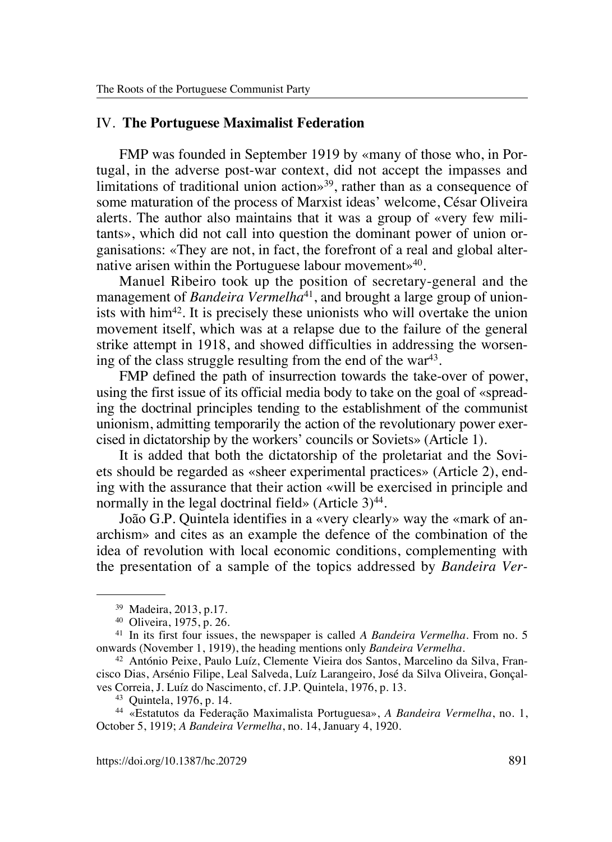#### IV. **The Portuguese Maximalist Federation**

FMP was founded in September 1919 by «many of those who, in Portugal, in the adverse post-war context, did not accept the impasses and limitations of traditional union action»<sup>39</sup>, rather than as a consequence of some maturation of the process of Marxist ideas' welcome, César Oliveira alerts. The author also maintains that it was a group of «very few militants», which did not call into question the dominant power of union organisations: «They are not, in fact, the forefront of a real and global alternative arisen within the Portuguese labour movement»<sup>40</sup>.

Manuel Ribeiro took up the position of secretary-general and the management of *Bandeira Vermelha*<sup>41</sup>, and brought a large group of unionists with him42. It is precisely these unionists who will overtake the union movement itself, which was at a relapse due to the failure of the general strike attempt in 1918, and showed difficulties in addressing the worsening of the class struggle resulting from the end of the war<sup>43</sup>.

FMP defined the path of insurrection towards the take-over of power, using the first issue of its official media body to take on the goal of «spreading the doctrinal principles tending to the establishment of the communist unionism, admitting temporarily the action of the revolutionary power exercised in dictatorship by the workers' councils or Soviets» (Article 1).

It is added that both the dictatorship of the proletariat and the Soviets should be regarded as «sheer experimental practices» (Article 2), ending with the assurance that their action «will be exercised in principle and normally in the legal doctrinal field» (Article  $3)^{44}$ .

João G.P. Quintela identifies in a «very clearly» way the «mark of anarchism» and cites as an example the defence of the combination of the idea of revolution with local economic conditions, complementing with the presentation of a sample of the topics addressed by *Bandeira Ver-*

<sup>39</sup> Madeira, 2013, p.17.

<sup>40</sup> Oliveira, 1975, p. 26.

<sup>41</sup> In its first four issues, the newspaper is called *A Bandeira Vermelha*. From no. 5 onwards (November 1, 1919), the heading mentions only *Bandeira Vermelha*.

<sup>42</sup> António Peixe, Paulo Luíz, Clemente Vieira dos Santos, Marcelino da Silva, Francisco Dias, Arsénio Filipe, Leal Salveda, Luíz Larangeiro, José da Silva Oliveira, Gonçalves Correia, J. Luíz do Nascimento, cf. J.P. Quintela, 1976, p. 13.

<sup>43</sup> Quintela, 1976, p. 14.

<sup>44</sup> «Estatutos da Federação Maximalista Portuguesa», *A Bandeira Vermelha*, no. 1, October 5, 1919; *A Bandeira Vermelha*, no. 14, January 4, 1920.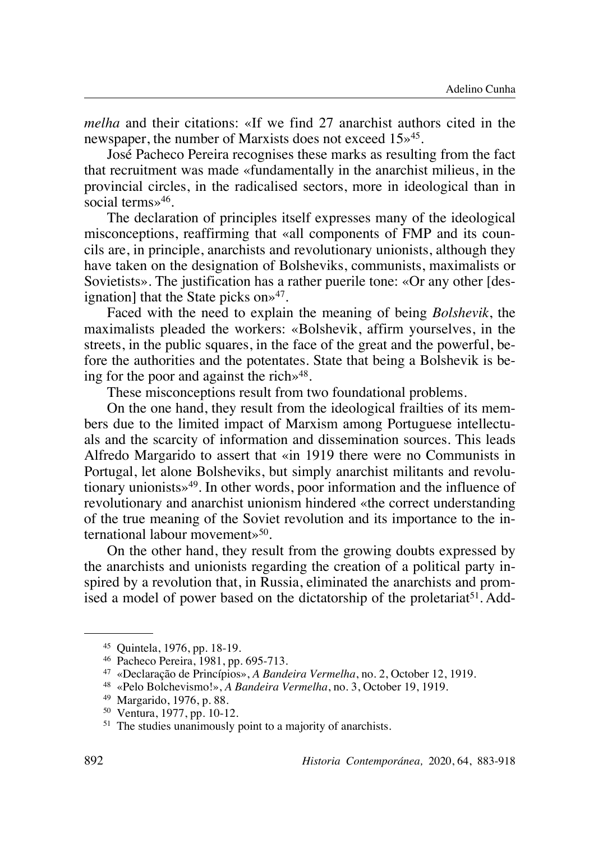*melha* and their citations: «If we find 27 anarchist authors cited in the newspaper, the number of Marxists does not exceed 15»45.

José Pacheco Pereira recognises these marks as resulting from the fact that recruitment was made «fundamentally in the anarchist milieus, in the provincial circles, in the radicalised sectors, more in ideological than in social terms»46.

The declaration of principles itself expresses many of the ideological misconceptions, reaffirming that «all components of FMP and its councils are, in principle, anarchists and revolutionary unionists, although they have taken on the designation of Bolsheviks, communists, maximalists or Sovietists». The justification has a rather puerile tone: «Or any other [designation] that the State picks on $\frac{1}{2}$ .

Faced with the need to explain the meaning of being *Bolshevik*, the maximalists pleaded the workers: «Bolshevik, affirm yourselves, in the streets, in the public squares, in the face of the great and the powerful, before the authorities and the potentates. State that being a Bolshevik is being for the poor and against the rich $\frac{1}{2}$ .

These misconceptions result from two foundational problems.

On the one hand, they result from the ideological frailties of its members due to the limited impact of Marxism among Portuguese intellectuals and the scarcity of information and dissemination sources. This leads Alfredo Margarido to assert that «in 1919 there were no Communists in Portugal, let alone Bolsheviks, but simply anarchist militants and revolutionary unionists»49. In other words, poor information and the influence of revolutionary and anarchist unionism hindered «the correct understanding of the true meaning of the Soviet revolution and its importance to the international labour movement»<sup>50</sup>.

On the other hand, they result from the growing doubts expressed by the anarchists and unionists regarding the creation of a political party inspired by a revolution that, in Russia, eliminated the anarchists and promised a model of power based on the dictatorship of the proletariat<sup>51</sup>. Add-

<sup>45</sup> Quintela, 1976, pp. 18-19.

<sup>46</sup> Pacheco Pereira, 1981, pp. 695-713.

<sup>47</sup> «Declaração de Princípios», *A Bandeira Vermelha*, no. 2, October 12, 1919.

<sup>48</sup> «Pelo Bolchevismo!», *A Bandeira Vermelha*, no. 3, October 19, 1919.

<sup>49</sup> Margarido, 1976, p. 88.

<sup>50</sup> Ventura, 1977, pp. 10-12.

<sup>&</sup>lt;sup>51</sup> The studies unanimously point to a majority of anarchists.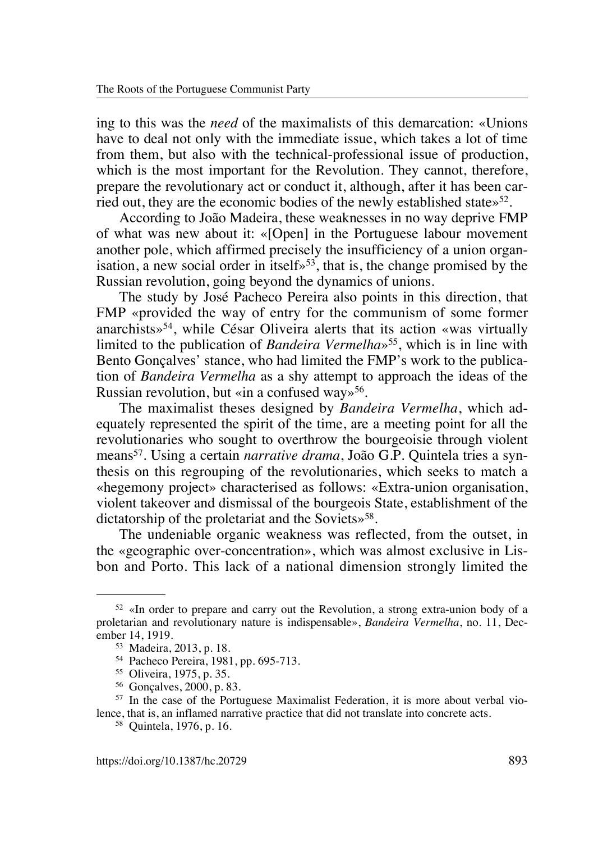ing to this was the *need* of the maximalists of this demarcation: «Unions have to deal not only with the immediate issue, which takes a lot of time from them, but also with the technical-professional issue of production, which is the most important for the Revolution. They cannot, therefore, prepare the revolutionary act or conduct it, although, after it has been carried out, they are the economic bodies of the newly established state $\frac{52}{2}$ .

According to João Madeira, these weaknesses in no way deprive FMP of what was new about it: «[Open] in the Portuguese labour movement another pole, which affirmed precisely the insufficiency of a union organisation, a new social order in itself $\frac{1}{2}$ , that is, the change promised by the Russian revolution, going beyond the dynamics of unions.

The study by José Pacheco Pereira also points in this direction, that FMP «provided the way of entry for the communism of some former anarchists»54, while César Oliveira alerts that its action «was virtually limited to the publication of *Bandeira Vermelha*»55, which is in line with Bento Gonçalves' stance, who had limited the FMP's work to the publication of *Bandeira Vermelha* as a shy attempt to approach the ideas of the Russian revolution, but «in a confused way»<sup>56</sup>.

The maximalist theses designed by *Bandeira Vermelha*, which adequately represented the spirit of the time, are a meeting point for all the revolutionaries who sought to overthrow the bourgeoisie through violent means57. Using a certain *narrative drama*, João G.P. Quintela tries a synthesis on this regrouping of the revolutionaries, which seeks to match a «hegemony project» characterised as follows: «Extra-union organisation, violent takeover and dismissal of the bourgeois State, establishment of the dictatorship of the proletariat and the Soviets»<sup>58</sup>.

The undeniable organic weakness was reflected, from the outset, in the «geographic over-concentration», which was almost exclusive in Lisbon and Porto. This lack of a national dimension strongly limited the

<sup>52</sup> «In order to prepare and carry out the Revolution, a strong extra-union body of a proletarian and revolutionary nature is indispensable», *Bandeira Vermelha*, no. 11, December 14, 1919.

<sup>53</sup> Madeira, 2013, p. 18.

<sup>54</sup> Pacheco Pereira, 1981, pp. 695-713.

<sup>55</sup> Oliveira, 1975, p. 35.

<sup>56</sup> Gonçalves, 2000, p. 83.

<sup>57</sup> In the case of the Portuguese Maximalist Federation, it is more about verbal violence, that is, an inflamed narrative practice that did not translate into concrete acts.

<sup>58</sup> Quintela, 1976, p. 16.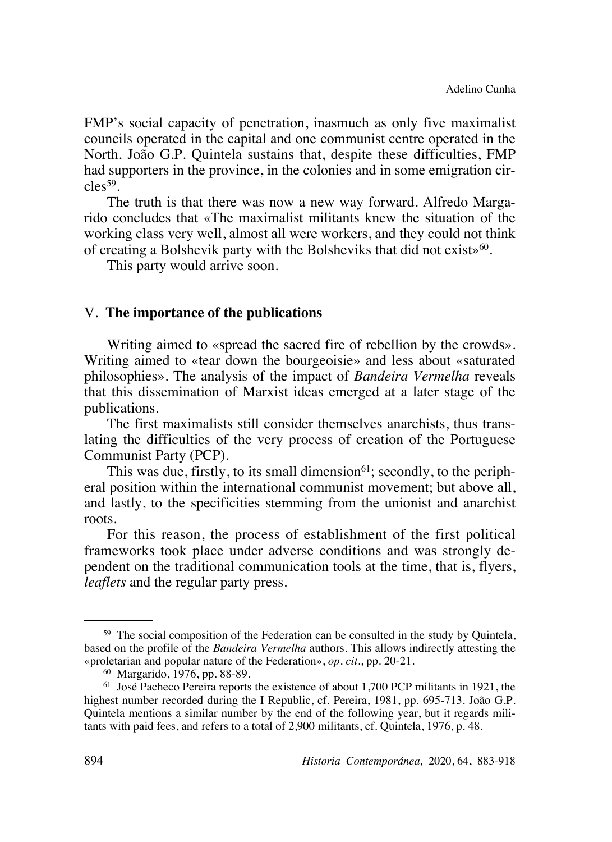FMP's social capacity of penetration, inasmuch as only five maximalist councils operated in the capital and one communist centre operated in the North. João G.P. Quintela sustains that, despite these difficulties, FMP had supporters in the province, in the colonies and in some emigration cir $cles<sup>59</sup>$ .

The truth is that there was now a new way forward. Alfredo Margarido concludes that «The maximalist militants knew the situation of the working class very well, almost all were workers, and they could not think of creating a Bolshevik party with the Bolsheviks that did not exists  $60$ .

This party would arrive soon.

#### V. **The importance of the publications**

Writing aimed to «spread the sacred fire of rebellion by the crowds». Writing aimed to «tear down the bourgeoisie» and less about «saturated philosophies». The analysis of the impact of *Bandeira Vermelha* reveals that this dissemination of Marxist ideas emerged at a later stage of the publications.

The first maximalists still consider themselves anarchists, thus translating the difficulties of the very process of creation of the Portuguese Communist Party (PCP).

This was due, firstly, to its small dimension $61$ ; secondly, to the peripheral position within the international communist movement; but above all, and lastly, to the specificities stemming from the unionist and anarchist roots.

For this reason, the process of establishment of the first political frameworks took place under adverse conditions and was strongly dependent on the traditional communication tools at the time, that is, flyers, *leaflets* and the regular party press.

<sup>&</sup>lt;sup>59</sup> The social composition of the Federation can be consulted in the study by Quintela, based on the profile of the *Bandeira Vermelha* authors. This allows indirectly attesting the «proletarian and popular nature of the Federation», *op. cit.*, pp. 20-21.

<sup>60</sup> Margarido, 1976, pp. 88-89.

<sup>61</sup> José Pacheco Pereira reports the existence of about 1,700 PCP militants in 1921, the highest number recorded during the I Republic, cf. Pereira, 1981, pp. 695-713. João G.P. Quintela mentions a similar number by the end of the following year, but it regards militants with paid fees, and refers to a total of 2,900 militants, cf. Quintela, 1976, p. 48.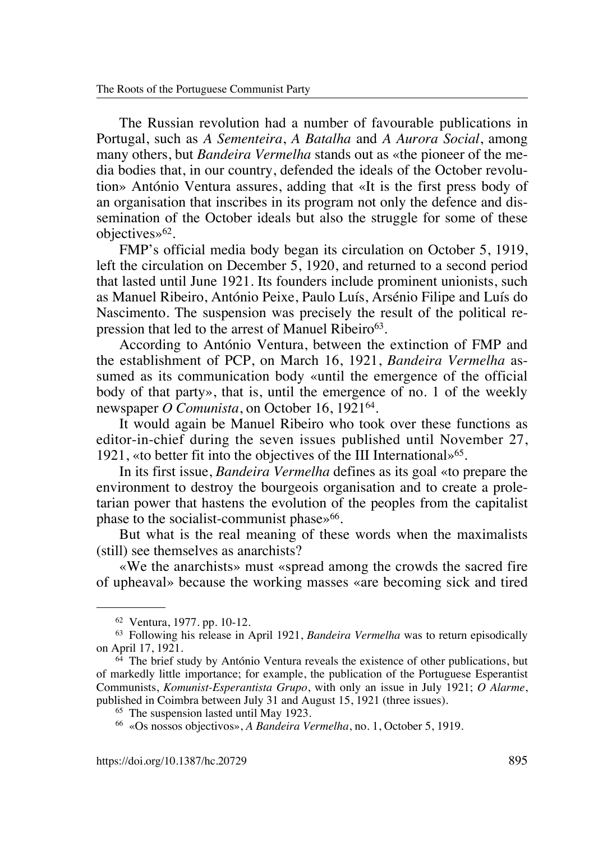The Russian revolution had a number of favourable publications in Portugal, such as *A Sementeira*, *A Batalha* and *A Aurora Social*, among many others, but *Bandeira Vermelha* stands out as «the pioneer of the media bodies that, in our country, defended the ideals of the October revolution» António Ventura assures, adding that «It is the first press body of an organisation that inscribes in its program not only the defence and dissemination of the October ideals but also the struggle for some of these objectives»<sup>62</sup>.

FMP's official media body began its circulation on October 5, 1919, left the circulation on December 5, 1920, and returned to a second period that lasted until June 1921. Its founders include prominent unionists, such as Manuel Ribeiro, António Peixe, Paulo Luís, Arsénio Filipe and Luís do Nascimento. The suspension was precisely the result of the political repression that led to the arrest of Manuel Ribeiro $63$ .

According to António Ventura, between the extinction of FMP and the establishment of PCP, on March 16, 1921, *Bandeira Vermelha* assumed as its communication body «until the emergence of the official body of that party», that is, until the emergence of no. 1 of the weekly newspaper *O Comunista*, on October 16, 192164.

It would again be Manuel Ribeiro who took over these functions as editor-in-chief during the seven issues published until November 27, 1921, «to better fit into the objectives of the III International»<sup>65</sup>.

In its first issue, *Bandeira Vermelha* defines as its goal «to prepare the environment to destroy the bourgeois organisation and to create a proletarian power that hastens the evolution of the peoples from the capitalist phase to the socialist-communist phase»<sup>66</sup>.

But what is the real meaning of these words when the maximalists (still) see themselves as anarchists?

«We the anarchists» must «spread among the crowds the sacred fire of upheaval» because the working masses «are becoming sick and tired

<sup>62</sup> Ventura, 1977. pp. 10-12.

<sup>63</sup> Following his release in April 1921, *Bandeira Vermelha* was to return episodically on April 17, 1921.

 $64$  The brief study by António Ventura reveals the existence of other publications, but of markedly little importance; for example, the publication of the Portuguese Esperantist Communists, *Komunist-Esperantista Grupo*, with only an issue in July 1921; *O Alarme*, published in Coimbra between July 31 and August 15, 1921 (three issues).

<sup>65</sup> The suspension lasted until May 1923.

<sup>66</sup> «Os nossos objectivos», *A Bandeira Vermelha*, no. 1, October 5, 1919.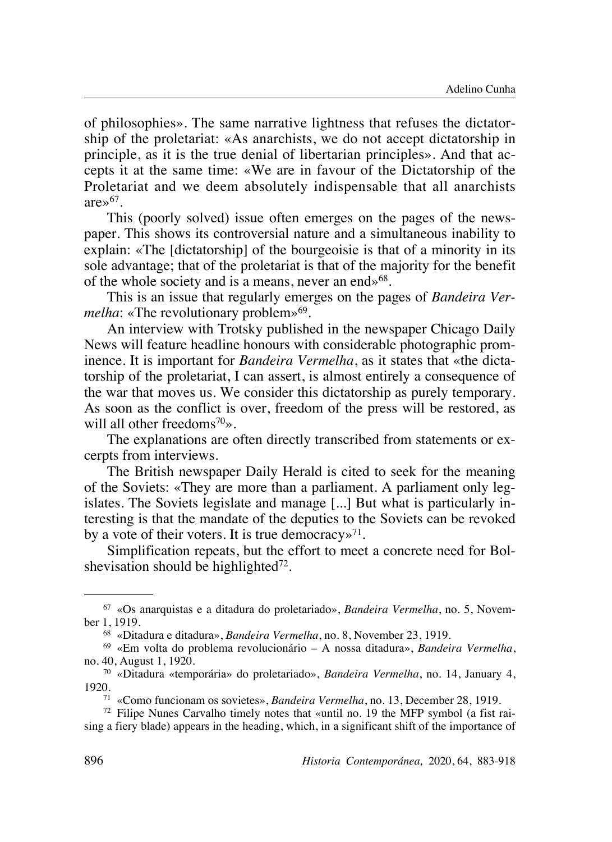of philosophies». The same narrative lightness that refuses the dictatorship of the proletariat: «As anarchists, we do not accept dictatorship in principle, as it is the true denial of libertarian principles». And that accepts it at the same time: «We are in favour of the Dictatorship of the Proletariat and we deem absolutely indispensable that all anarchists are $\mathcal{D}^{67}$ .

This (poorly solved) issue often emerges on the pages of the newspaper. This shows its controversial nature and a simultaneous inability to explain: «The [dictatorship] of the bourgeoisie is that of a minority in its sole advantage; that of the proletariat is that of the majority for the benefit of the whole society and is a means, never an end»<sup>68</sup>.

This is an issue that regularly emerges on the pages of *Bandeira Vermelha*: «The revolutionary problem»<sup>69</sup>.

An interview with Trotsky published in the newspaper Chicago Daily News will feature headline honours with considerable photographic prominence. It is important for *Bandeira Vermelha*, as it states that «the dictatorship of the proletariat, I can assert, is almost entirely a consequence of the war that moves us. We consider this dictatorship as purely temporary. As soon as the conflict is over, freedom of the press will be restored, as will all other freedoms<sup>70</sup>».

The explanations are often directly transcribed from statements or excerpts from interviews.

The British newspaper Daily Herald is cited to seek for the meaning of the Soviets: «They are more than a parliament. A parliament only legislates. The Soviets legislate and manage [...] But what is particularly interesting is that the mandate of the deputies to the Soviets can be revoked by a vote of their voters. It is true democracy  $v^{71}$ .

Simplification repeats, but the effort to meet a concrete need for Bolshevisation should be highlighted<sup>72</sup>.

<sup>67</sup> «Os anarquistas e a ditadura do proletariado», *Bandeira Vermelha*, no. 5, November 1, 1919.

<sup>68</sup> «Ditadura e ditadura», *Bandeira Vermelha*, no. 8, November 23, 1919.

<sup>69</sup> «Em volta do problema revolucionário – A nossa ditadura», *Bandeira Vermelha*, no. 40, August 1, 1920.

<sup>70</sup> «Ditadura «temporária» do proletariado», *Bandeira Vermelha*, no. 14, January 4, 1920.

<sup>71</sup> «Como funcionam os sovietes», *Bandeira Vermelha*, no. 13, December 28, 1919.

<sup>72</sup> Filipe Nunes Carvalho timely notes that «until no. 19 the MFP symbol (a fist raising a fiery blade) appears in the heading, which, in a significant shift of the importance of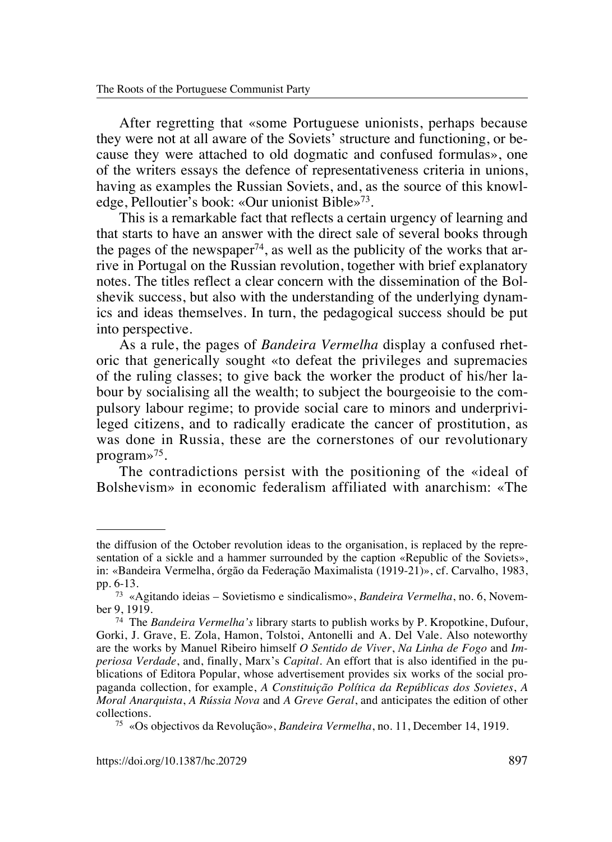After regretting that «some Portuguese unionists, perhaps because they were not at all aware of the Soviets' structure and functioning, or because they were attached to old dogmatic and confused formulas», one of the writers essays the defence of representativeness criteria in unions, having as examples the Russian Soviets, and, as the source of this knowledge, Pelloutier's book: «Our unionist Bible»73.

This is a remarkable fact that reflects a certain urgency of learning and that starts to have an answer with the direct sale of several books through the pages of the newspaper<sup>74</sup>, as well as the publicity of the works that arrive in Portugal on the Russian revolution, together with brief explanatory notes. The titles reflect a clear concern with the dissemination of the Bolshevik success, but also with the understanding of the underlying dynamics and ideas themselves. In turn, the pedagogical success should be put into perspective.

As a rule, the pages of *Bandeira Vermelha* display a confused rhetoric that generically sought «to defeat the privileges and supremacies of the ruling classes; to give back the worker the product of his/her labour by socialising all the wealth; to subject the bourgeoisie to the compulsory labour regime; to provide social care to minors and underprivileged citizens, and to radically eradicate the cancer of prostitution, as was done in Russia, these are the cornerstones of our revolutionary program»75.

The contradictions persist with the positioning of the «ideal of Bolshevism» in economic federalism affiliated with anarchism: «The

the diffusion of the October revolution ideas to the organisation, is replaced by the representation of a sickle and a hammer surrounded by the caption «Republic of the Soviets», in: «Bandeira Vermelha, órgão da Federação Maximalista (1919-21)», cf. Carvalho, 1983, pp. 6-13.

<sup>73</sup> «Agitando ideias – Sovietismo e sindicalismo», *Bandeira Vermelha*, no. 6, November 9, 1919.

<sup>74</sup> The *Bandeira Vermelha's* library starts to publish works by P. Kropotkine, Dufour, Gorki, J. Grave, E. Zola, Hamon, Tolstoi, Antonelli and A. Del Vale. Also noteworthy are the works by Manuel Ribeiro himself *O Sentido de Viver*, *Na Linha de Fogo* and *Imperiosa Verdade*, and, finally, Marx's *Capital*. An effort that is also identified in the publications of Editora Popular, whose advertisement provides six works of the social propaganda collection, for example, *A Constituição Política da Repúblicas dos Sovietes*, *A Moral Anarquista*, *A Rússia Nova* and *A Greve Geral*, and anticipates the edition of other collections.

<sup>75</sup> «Os objectivos da Revolução», *Bandeira Vermelha*, no. 11, December 14, 1919.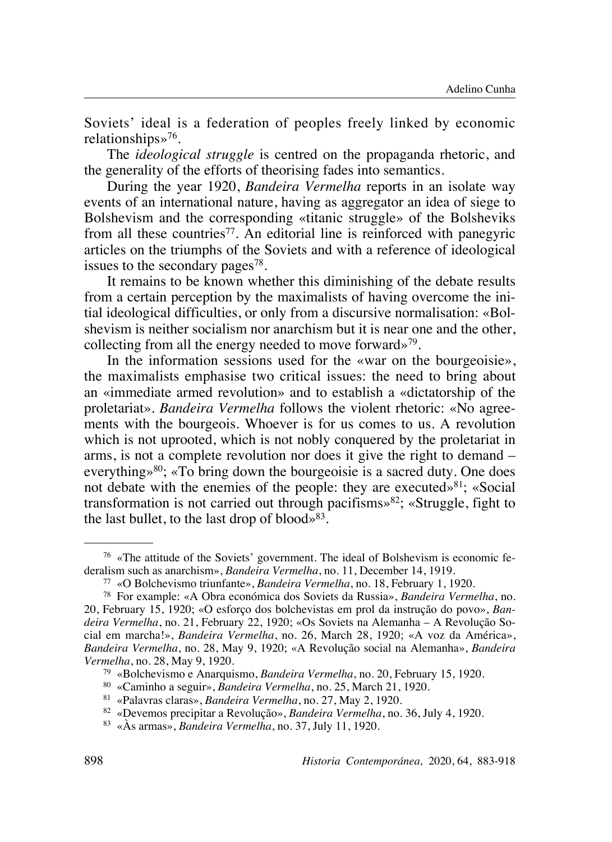Soviets' ideal is a federation of peoples freely linked by economic relationships»76.

The *ideological struggle* is centred on the propaganda rhetoric, and the generality of the efforts of theorising fades into semantics.

During the year 1920, *Bandeira Vermelha* reports in an isolate way events of an international nature, having as aggregator an idea of siege to Bolshevism and the corresponding «titanic struggle» of the Bolsheviks from all these countries<sup>77</sup>. An editorial line is reinforced with panegyric articles on the triumphs of the Soviets and with a reference of ideological issues to the secondary pages<sup>78</sup>.

It remains to be known whether this diminishing of the debate results from a certain perception by the maximalists of having overcome the initial ideological difficulties, or only from a discursive normalisation: «Bolshevism is neither socialism nor anarchism but it is near one and the other, collecting from all the energy needed to move forward»79.

In the information sessions used for the «war on the bourgeoisie», the maximalists emphasise two critical issues: the need to bring about an «immediate armed revolution» and to establish a «dictatorship of the proletariat». *Bandeira Vermelha* follows the violent rhetoric: «No agreements with the bourgeois. Whoever is for us comes to us. A revolution which is not uprooted, which is not nobly conquered by the proletariat in arms, is not a complete revolution nor does it give the right to demand – everything»<sup>80</sup>; «To bring down the bourgeoisie is a sacred duty. One does not debate with the enemies of the people: they are executed  $8^{81}$ ; «Social transformation is not carried out through pacifisms $\frac{82}{5}$ ; «Struggle, fight to the last bullet, to the last drop of blood» $83$ .

<sup>76</sup> «The attitude of the Soviets' government. The ideal of Bolshevism is economic federalism such as anarchism», *Bandeira Vermelha*, no. 11, December 14, 1919.

<sup>77</sup> «O Bolchevismo triunfante», *Bandeira Vermelha*, no. 18, February 1, 1920.

<sup>78</sup> For example: «A Obra económica dos Soviets da Russia», *Bandeira Vermelha*, no. 20, February 15, 1920; «O esforço dos bolchevistas em prol da instrução do povo», *Bandeira Vermelha*, no. 21, February 22, 1920; «Os Soviets na Alemanha – A Revolução Social em marcha!», *Bandeira Vermelha*, no. 26, March 28, 1920; «A voz da América», *Bandeira Vermelha*, no. 28, May 9, 1920; «A Revolução social na Alemanha», *Bandeira Vermelha*, no. 28, May 9, 1920.

<sup>79</sup> «Bolchevismo e Anarquismo, *Bandeira Vermelha*, no. 20, February 15, 1920.

<sup>80</sup> «Caminho a seguir», *Bandeira Vermelha*, no. 25, March 21, 1920.

<sup>81</sup> «Palavras claras», *Bandeira Vermelha*, no. 27, May 2, 1920.

<sup>82</sup> «Devemos precipitar a Revolução», *Bandeira Vermelha*, no. 36, July 4, 1920.

<sup>83</sup> «Às armas», *Bandeira Vermelha*, no. 37, July 11, 1920.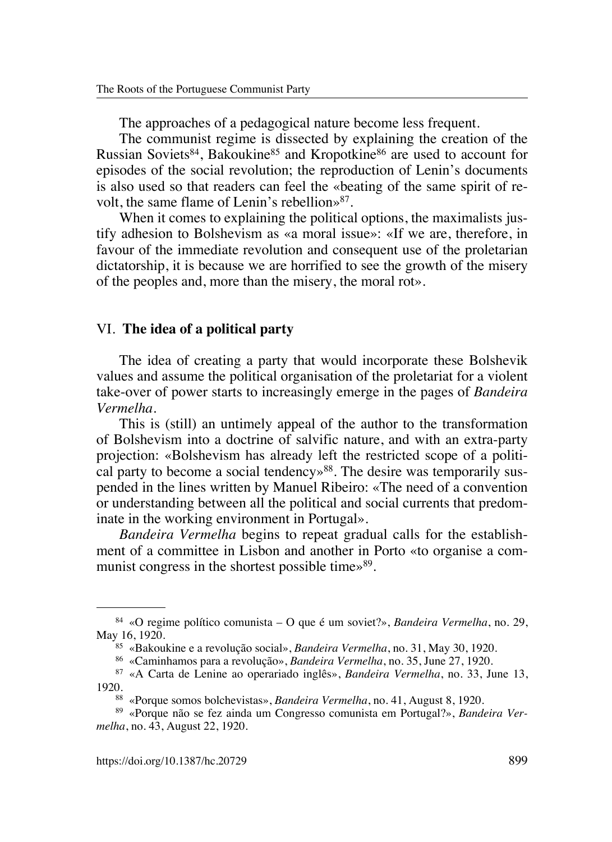The approaches of a pedagogical nature become less frequent.

The communist regime is dissected by explaining the creation of the Russian Soviets<sup>84</sup>, Bakoukine<sup>85</sup> and Kropotkine<sup>86</sup> are used to account for episodes of the social revolution; the reproduction of Lenin's documents is also used so that readers can feel the «beating of the same spirit of revolt, the same flame of Lenin's rebellion»87.

When it comes to explaining the political options, the maximalists iustify adhesion to Bolshevism as «a moral issue»: «If we are, therefore, in favour of the immediate revolution and consequent use of the proletarian dictatorship, it is because we are horrified to see the growth of the misery of the peoples and, more than the misery, the moral rot».

#### VI. **The idea of a political party**

The idea of creating a party that would incorporate these Bolshevik values and assume the political organisation of the proletariat for a violent take-over of power starts to increasingly emerge in the pages of *Bandeira Vermelha*.

This is (still) an untimely appeal of the author to the transformation of Bolshevism into a doctrine of salvific nature, and with an extra-party projection: «Bolshevism has already left the restricted scope of a political party to become a social tendency<sup>88</sup>. The desire was temporarily suspended in the lines written by Manuel Ribeiro: «The need of a convention or understanding between all the political and social currents that predominate in the working environment in Portugal».

*Bandeira Vermelha* begins to repeat gradual calls for the establishment of a committee in Lisbon and another in Porto «to organise a communist congress in the shortest possible time $\frac{89}{8}$ .

<sup>84</sup> «O regime político comunista – O que é um soviet?», *Bandeira Vermelha*, no. 29, May 16, 1920.

<sup>85</sup> «Bakoukine e a revolução social», *Bandeira Vermelha*, no. 31, May 30, 1920.

<sup>86</sup> «Caminhamos para a revolução», *Bandeira Vermelha*, no. 35, June 27, 1920.

<sup>87</sup> «A Carta de Lenine ao operariado inglês», *Bandeira Vermelha*, no. 33, June 13, 1920.

<sup>88</sup> «Porque somos bolchevistas», *Bandeira Vermelha*, no. 41, August 8, 1920.

<sup>89</sup> «Porque não se fez ainda um Congresso comunista em Portugal?», *Bandeira Vermelha*, no. 43, August 22, 1920.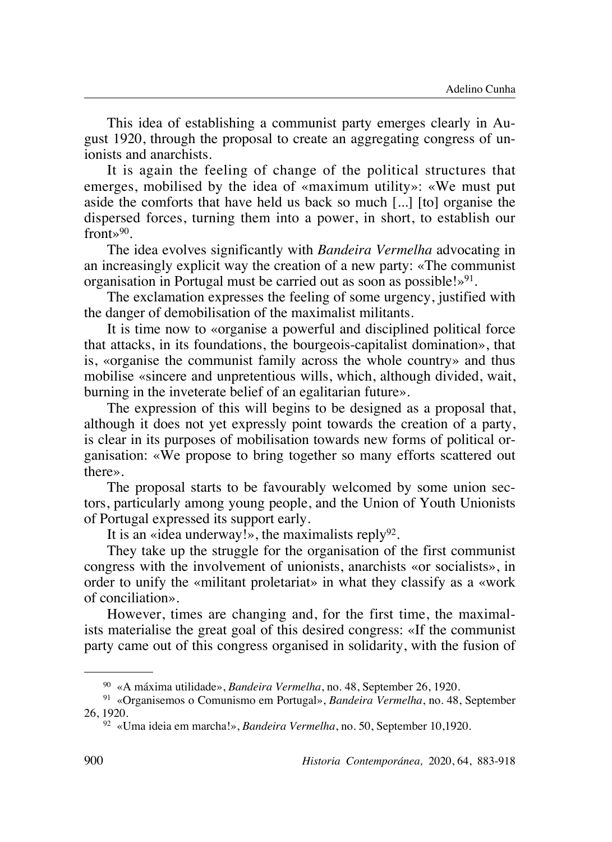This idea of establishing a communist party emerges clearly in August 1920, through the proposal to create an aggregating congress of unionists and anarchists.

It is again the feeling of change of the political structures that emerges, mobilised by the idea of «maximum utility»: «We must put aside the comforts that have held us back so much [...] [to] organise the dispersed forces, turning them into a power, in short, to establish our  $front \rightarrow 90$ .

The idea evolves significantly with *Bandeira Vermelha* advocating in an increasingly explicit way the creation of a new party: «The communist organisation in Portugal must be carried out as soon as possible! $\mathcal{P}^{91}$ .

The exclamation expresses the feeling of some urgency, justified with the danger of demobilisation of the maximalist militants.

It is time now to «organise a powerful and disciplined political force that attacks, in its foundations, the bourgeois-capitalist domination», that is, «organise the communist family across the whole country» and thus mobilise «sincere and unpretentious wills, which, although divided, wait, burning in the inveterate belief of an egalitarian future».

The expression of this will begins to be designed as a proposal that, although it does not yet expressly point towards the creation of a party, is clear in its purposes of mobilisation towards new forms of political organisation: «We propose to bring together so many efforts scattered out there».

The proposal starts to be favourably welcomed by some union sectors, particularly among young people, and the Union of Youth Unionists of Portugal expressed its support early.

It is an «idea underway!», the maximalists reply<sup>92</sup>.

They take up the struggle for the organisation of the first communist congress with the involvement of unionists, anarchists «or socialists», in order to unify the «militant proletariat» in what they classify as a «work of conciliation».

However, times are changing and, for the first time, the maximalists materialise the great goal of this desired congress: «If the communist party came out of this congress organised in solidarity, with the fusion of

<sup>90</sup> «A máxima utilidade», *Bandeira Vermelha*, no. 48, September 26, 1920.

<sup>91</sup> «Organisemos o Comunismo em Portugal», *Bandeira Vermelha*, no. 48, September 26, 1920.

<sup>92</sup> «Uma ideia em marcha!», *Bandeira Vermelha*, no. 50, September 10,1920.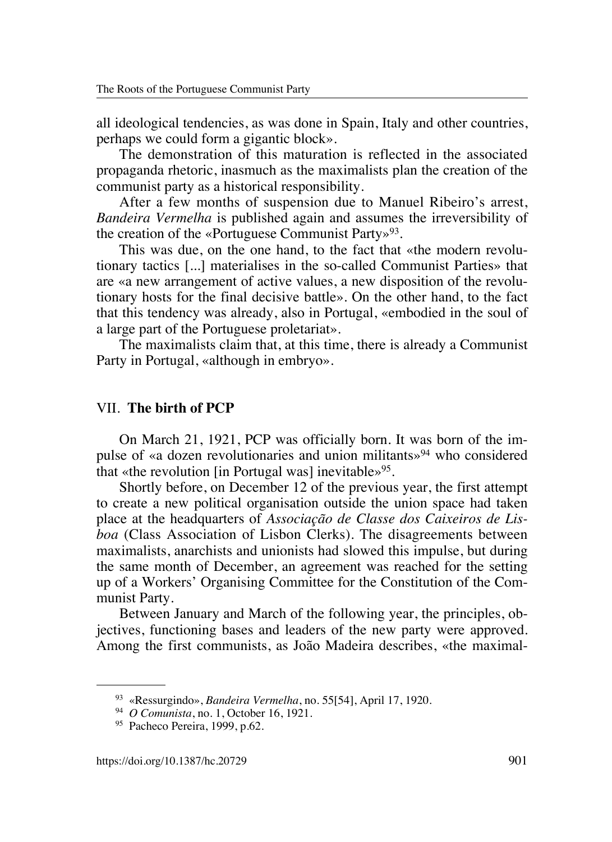all ideological tendencies, as was done in Spain, Italy and other countries, perhaps we could form a gigantic block».

The demonstration of this maturation is reflected in the associated propaganda rhetoric, inasmuch as the maximalists plan the creation of the communist party as a historical responsibility.

After a few months of suspension due to Manuel Ribeiro's arrest, *Bandeira Vermelha* is published again and assumes the irreversibility of the creation of the «Portuguese Communist Party»<sup>93</sup>.

This was due, on the one hand, to the fact that «the modern revolutionary tactics [...] materialises in the so-called Communist Parties» that are «a new arrangement of active values, a new disposition of the revolutionary hosts for the final decisive battle». On the other hand, to the fact that this tendency was already, also in Portugal, «embodied in the soul of a large part of the Portuguese proletariat».

The maximalists claim that, at this time, there is already a Communist Party in Portugal, «although in embryo».

#### VII. **The birth of PCP**

On March 21, 1921, PCP was officially born. It was born of the impulse of «a dozen revolutionaries and union militants»94 who considered that «the revolution [in Portugal was] inevitable»<sup>95</sup>.

Shortly before, on December 12 of the previous year, the first attempt to create a new political organisation outside the union space had taken place at the headquarters of *Associação de Classe dos Caixeiros de Lisboa* (Class Association of Lisbon Clerks). The disagreements between maximalists, anarchists and unionists had slowed this impulse, but during the same month of December, an agreement was reached for the setting up of a Workers' Organising Committee for the Constitution of the Communist Party.

Between January and March of the following year, the principles, objectives, functioning bases and leaders of the new party were approved. Among the first communists, as João Madeira describes, «the maximal-

<sup>93</sup> «Ressurgindo», *Bandeira Vermelha*, no. 55[54], April 17, 1920.

<sup>94</sup> *O Comunista*, no. 1, October 16, 1921.

<sup>95</sup> Pacheco Pereira, 1999, p.62.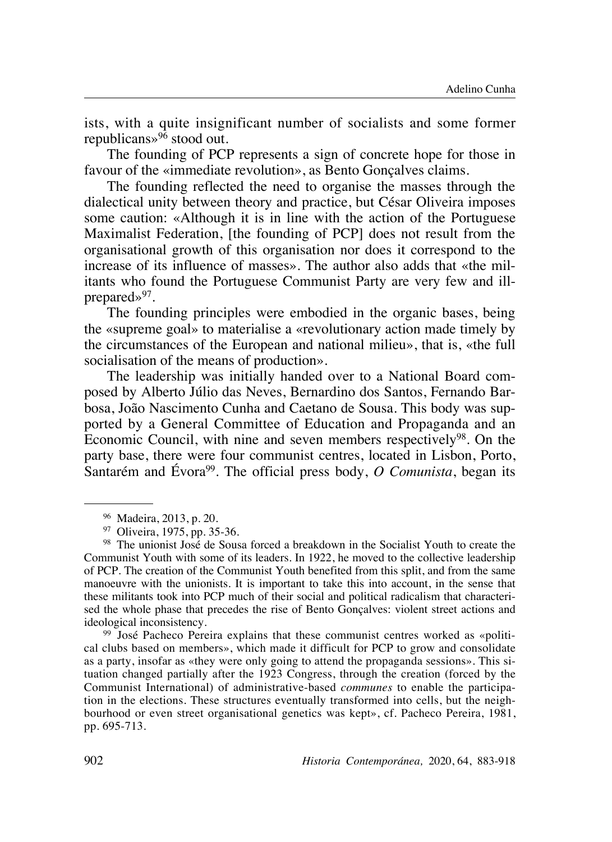ists, with a quite insignificant number of socialists and some former republicans»96 stood out.

The founding of PCP represents a sign of concrete hope for those in favour of the «immediate revolution», as Bento Gonçalves claims.

The founding reflected the need to organise the masses through the dialectical unity between theory and practice, but César Oliveira imposes some caution: «Although it is in line with the action of the Portuguese Maximalist Federation, [the founding of PCP] does not result from the organisational growth of this organisation nor does it correspond to the increase of its influence of masses». The author also adds that «the militants who found the Portuguese Communist Party are very few and illprepared»<sup>97</sup>.

The founding principles were embodied in the organic bases, being the «supreme goal» to materialise a «revolutionary action made timely by the circumstances of the European and national milieu», that is, «the full socialisation of the means of production».

The leadership was initially handed over to a National Board composed by Alberto Júlio das Neves, Bernardino dos Santos, Fernando Barbosa, João Nascimento Cunha and Caetano de Sousa. This body was supported by a General Committee of Education and Propaganda and an Economic Council, with nine and seven members respectively<sup>98</sup>. On the party base, there were four communist centres, located in Lisbon, Porto, Santarém and Évora<sup>99</sup>. The official press body, *O Comunista*, began its

<sup>99</sup> José Pacheco Pereira explains that these communist centres worked as «political clubs based on members», which made it difficult for PCP to grow and consolidate as a party, insofar as «they were only going to attend the propaganda sessions». This situation changed partially after the 1923 Congress, through the creation (forced by the Communist International) of administrative-based *communes* to enable the participation in the elections. These structures eventually transformed into cells, but the neighbourhood or even street organisational genetics was kept», cf. Pacheco Pereira, 1981, pp. 695-713.

<sup>96</sup> Madeira, 2013, p. 20.

<sup>97</sup> Oliveira, 1975, pp. 35-36.

<sup>98</sup> The unionist José de Sousa forced a breakdown in the Socialist Youth to create the Communist Youth with some of its leaders. In 1922, he moved to the collective leadership of PCP. The creation of the Communist Youth benefited from this split, and from the same manoeuvre with the unionists. It is important to take this into account, in the sense that these militants took into PCP much of their social and political radicalism that characterised the whole phase that precedes the rise of Bento Gonçalves: violent street actions and ideological inconsistency.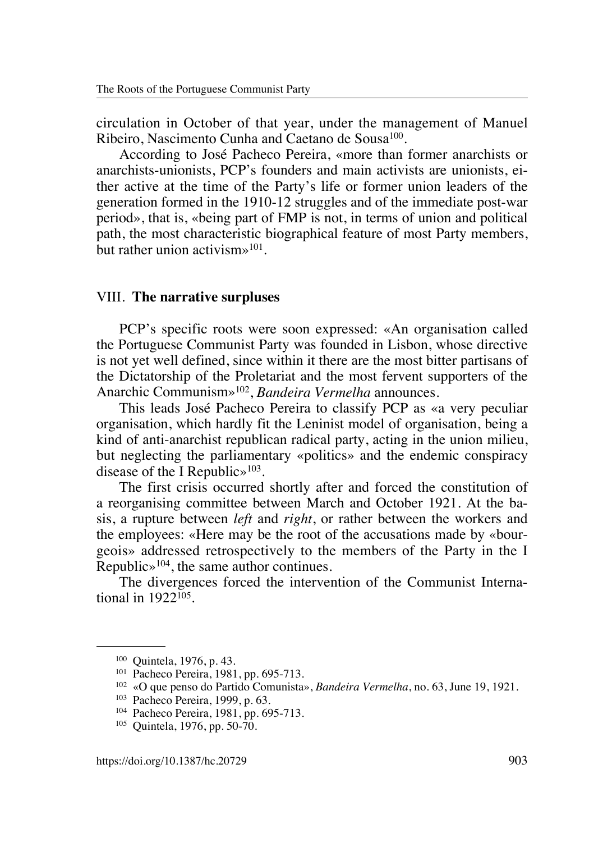circulation in October of that year, under the management of Manuel Ribeiro, Nascimento Cunha and Caetano de Sousa<sup>100</sup>.

According to José Pacheco Pereira, «more than former anarchists or anarchists-unionists, PCP's founders and main activists are unionists, either active at the time of the Party's life or former union leaders of the generation formed in the 1910-12 struggles and of the immediate post-war period», that is, «being part of FMP is not, in terms of union and political path, the most characteristic biographical feature of most Party members, but rather union activism»101.

#### VIII. **The narrative surpluses**

PCP's specific roots were soon expressed: «An organisation called the Portuguese Communist Party was founded in Lisbon, whose directive is not yet well defined, since within it there are the most bitter partisans of the Dictatorship of the Proletariat and the most fervent supporters of the Anarchic Communism»102, *Bandeira Vermelha* announces.

This leads José Pacheco Pereira to classify PCP as «a very peculiar organisation, which hardly fit the Leninist model of organisation, being a kind of anti-anarchist republican radical party, acting in the union milieu, but neglecting the parliamentary «politics» and the endemic conspiracy disease of the I Republic $\gg$ <sup>103</sup>.

The first crisis occurred shortly after and forced the constitution of a reorganising committee between March and October 1921. At the basis, a rupture between *left* and *right*, or rather between the workers and the employees: «Here may be the root of the accusations made by «bourgeois» addressed retrospectively to the members of the Party in the I Republic»104, the same author continues.

The divergences forced the intervention of the Communist International in 1922105.

<sup>100</sup> Quintela, 1976, p. 43.

<sup>101</sup> Pacheco Pereira, 1981, pp. 695-713.

<sup>102</sup> «O que penso do Partido Comunista», *Bandeira Vermelha*, no. 63, June 19, 1921.

<sup>103</sup> Pacheco Pereira, 1999, p. 63.

<sup>104</sup> Pacheco Pereira, 1981, pp. 695-713.

<sup>105</sup> Quintela, 1976, pp. 50-70.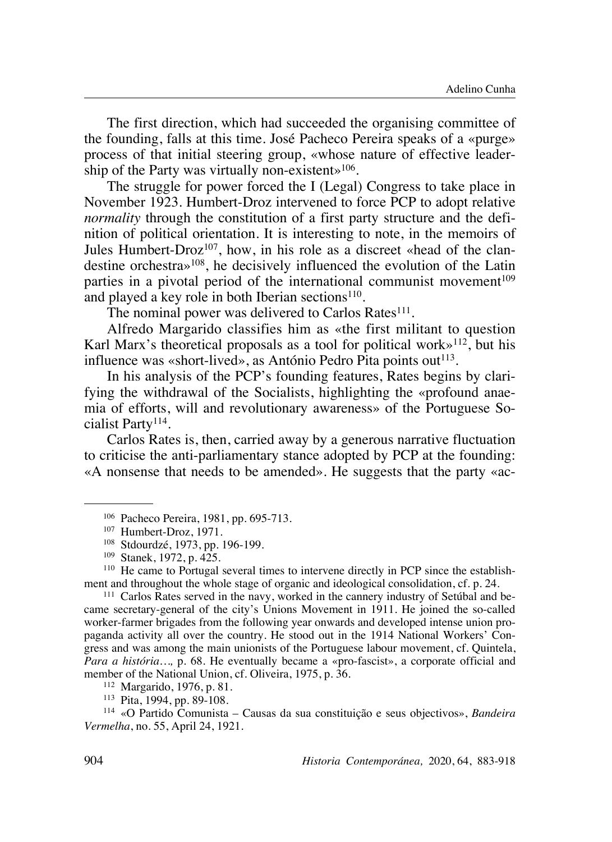The first direction, which had succeeded the organising committee of the founding, falls at this time. José Pacheco Pereira speaks of a «purge» process of that initial steering group, «whose nature of effective leadership of the Party was virtually non-existent»<sup>106</sup>.

The struggle for power forced the I (Legal) Congress to take place in November 1923. Humbert-Droz intervened to force PCP to adopt relative *normality* through the constitution of a first party structure and the definition of political orientation. It is interesting to note, in the memoirs of Jules Humbert-Droz<sup>107</sup>, how, in his role as a discreet «head of the clandestine orchestra»108, he decisively influenced the evolution of the Latin parties in a pivotal period of the international communist movement<sup>109</sup> and played a key role in both Iberian sections<sup>110</sup>.

The nominal power was delivered to Carlos Rates<sup>111</sup>.

Alfredo Margarido classifies him as «the first militant to question Karl Marx's theoretical proposals as a tool for political work $\frac{112}{12}$ , but his influence was «short-lived», as António Pedro Pita points out<sup>113</sup>.

In his analysis of the PCP's founding features, Rates begins by clarifying the withdrawal of the Socialists, highlighting the «profound anaemia of efforts, will and revolutionary awareness» of the Portuguese Socialist Party114.

Carlos Rates is, then, carried away by a generous narrative fluctuation to criticise the anti-parliamentary stance adopted by PCP at the founding: «A nonsense that needs to be amended». He suggests that the party «ac-

<sup>110</sup> He came to Portugal several times to intervene directly in PCP since the establishment and throughout the whole stage of organic and ideological consolidation, cf. p. 24.

<sup>111</sup> Carlos Rates served in the navy, worked in the cannery industry of Setúbal and became secretary-general of the city's Unions Movement in 1911. He joined the so-called worker-farmer brigades from the following year onwards and developed intense union propaganda activity all over the country. He stood out in the 1914 National Workers' Congress and was among the main unionists of the Portuguese labour movement, cf. Quintela, *Para a história…,* p. 68. He eventually became a «pro-fascist», a corporate official and member of the National Union, cf. Oliveira, 1975, p. 36.

<sup>112</sup> Margarido, 1976, p. 81.

<sup>113</sup> Pita, 1994, pp. 89-108.

<sup>114</sup> «O Partido Comunista – Causas da sua constituição e seus objectivos», *Bandeira Vermelha*, no. 55, April 24, 1921.

<sup>106</sup> Pacheco Pereira, 1981, pp. 695-713.

<sup>107</sup> Humbert-Droz, 1971.

<sup>108</sup> Stdourdzé, 1973, pp. 196-199.

<sup>109</sup> Stanek, 1972, p. 425.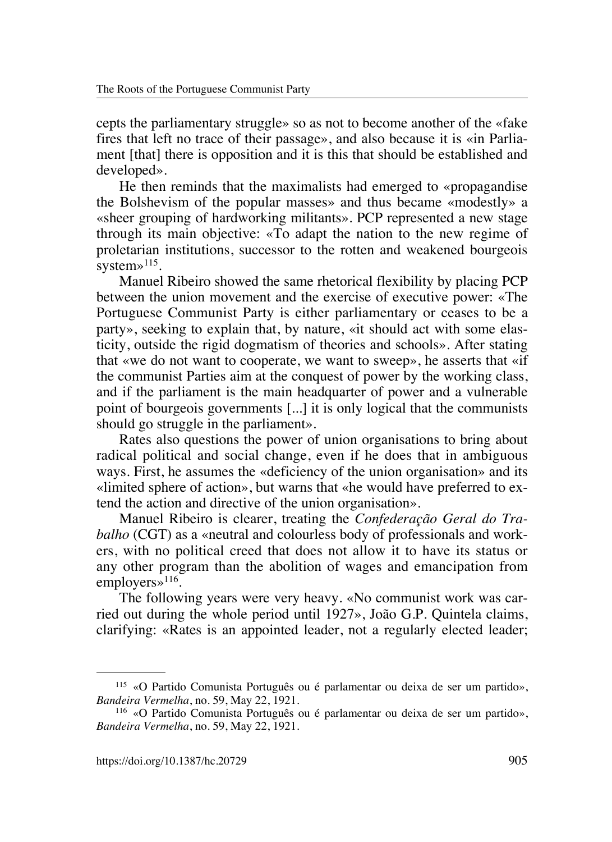cepts the parliamentary struggle» so as not to become another of the «fake fires that left no trace of their passage», and also because it is «in Parliament [that] there is opposition and it is this that should be established and developed».

He then reminds that the maximalists had emerged to «propagandise the Bolshevism of the popular masses» and thus became «modestly» a «sheer grouping of hardworking militants». PCP represented a new stage through its main objective: «To adapt the nation to the new regime of proletarian institutions, successor to the rotten and weakened bourgeois system» $115$ .

Manuel Ribeiro showed the same rhetorical flexibility by placing PCP between the union movement and the exercise of executive power: «The Portuguese Communist Party is either parliamentary or ceases to be a party», seeking to explain that, by nature, «it should act with some elasticity, outside the rigid dogmatism of theories and schools». After stating that «we do not want to cooperate, we want to sweep», he asserts that «if the communist Parties aim at the conquest of power by the working class, and if the parliament is the main headquarter of power and a vulnerable point of bourgeois governments [...] it is only logical that the communists should go struggle in the parliament».

Rates also questions the power of union organisations to bring about radical political and social change, even if he does that in ambiguous ways. First, he assumes the «deficiency of the union organisation» and its «limited sphere of action», but warns that «he would have preferred to extend the action and directive of the union organisation».

Manuel Ribeiro is clearer, treating the *Confederação Geral do Trabalho* (CGT) as a «neutral and colourless body of professionals and workers, with no political creed that does not allow it to have its status or any other program than the abolition of wages and emancipation from employers»<sup>116</sup>.

The following years were very heavy. «No communist work was carried out during the whole period until 1927», João G.P. Quintela claims, clarifying: «Rates is an appointed leader, not a regularly elected leader;

<sup>115</sup> «O Partido Comunista Português ou é parlamentar ou deixa de ser um partido», *Bandeira Vermelha*, no. 59, May 22, 1921.

<sup>116</sup> «O Partido Comunista Português ou é parlamentar ou deixa de ser um partido», *Bandeira Vermelha*, no. 59, May 22, 1921.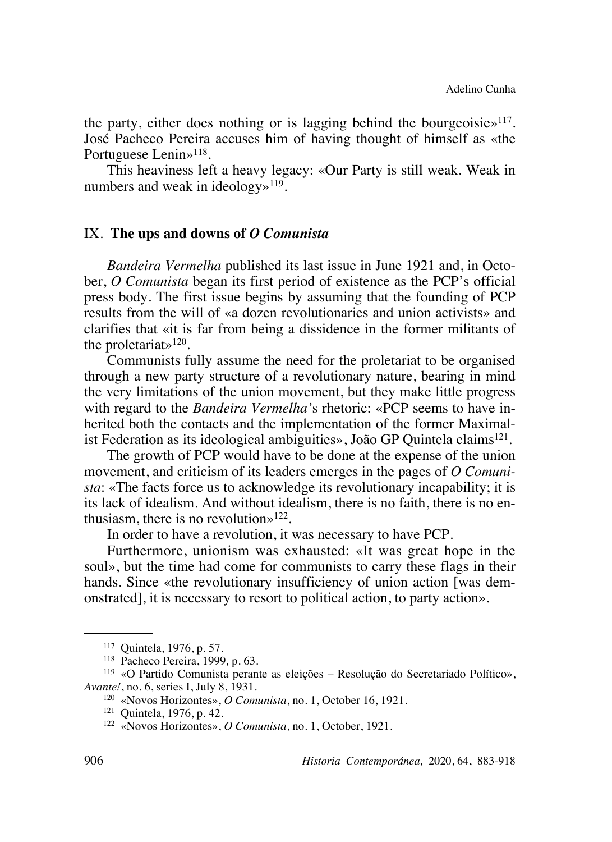the party, either does nothing or is lagging behind the bourgeoisie $\mathcal{L}^{117}$ . José Pacheco Pereira accuses him of having thought of himself as «the Portuguese Lenin»<sup>118</sup>.

This heaviness left a heavy legacy: «Our Party is still weak. Weak in numbers and weak in ideology»119.

#### IX. **The ups and downs of** *O Comunista*

*Bandeira Vermelha* published its last issue in June 1921 and, in October, *O Comunista* began its first period of existence as the PCP's official press body. The first issue begins by assuming that the founding of PCP results from the will of «a dozen revolutionaries and union activists» and clarifies that «it is far from being a dissidence in the former militants of the proletariat»120.

Communists fully assume the need for the proletariat to be organised through a new party structure of a revolutionary nature, bearing in mind the very limitations of the union movement, but they make little progress with regard to the *Bandeira Vermelha'*s rhetoric: «PCP seems to have inherited both the contacts and the implementation of the former Maximalist Federation as its ideological ambiguities», João GP Quintela claims<sup>121</sup>.

The growth of PCP would have to be done at the expense of the union movement, and criticism of its leaders emerges in the pages of *O Comunista*: «The facts force us to acknowledge its revolutionary incapability; it is its lack of idealism. And without idealism, there is no faith, there is no enthusiasm, there is no revolution $\frac{122}{12}$ .

In order to have a revolution, it was necessary to have PCP.

Furthermore, unionism was exhausted: «It was great hope in the soul», but the time had come for communists to carry these flags in their hands. Since «the revolutionary insufficiency of union action [was demonstrated], it is necessary to resort to political action, to party action».

<sup>117</sup> Quintela, 1976, p. 57.

<sup>118</sup> Pacheco Pereira, 1999*,* p. 63.

<sup>119</sup> «O Partido Comunista perante as eleições – Resolução do Secretariado Político», *Avante!*, no. 6, series I, July 8, 1931.

<sup>120</sup> «Novos Horizontes», *O Comunista*, no. 1, October 16, 1921.

<sup>121</sup> Quintela, 1976, p. 42.

<sup>122</sup> «Novos Horizontes», *O Comunista*, no. 1, October, 1921.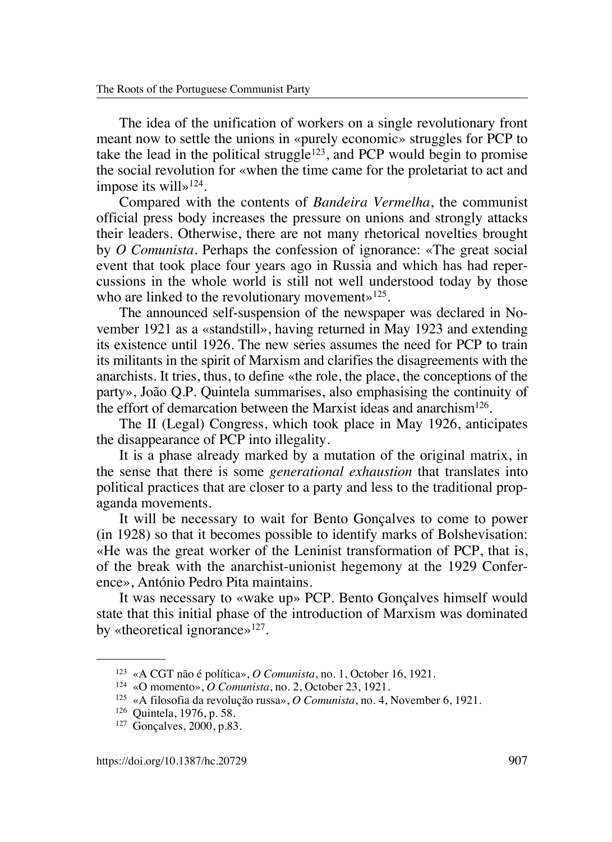The idea of the unification of workers on a single revolutionary front meant now to settle the unions in «purely economic» struggles for PCP to take the lead in the political struggle<sup>123</sup>, and PCP would begin to promise the social revolution for «when the time came for the proletariat to act and impose its will»124.

Compared with the contents of *Bandeira Vermelha*, the communist official press body increases the pressure on unions and strongly attacks their leaders. Otherwise, there are not many rhetorical novelties brought by *O Comunista*. Perhaps the confession of ignorance: «The great social event that took place four years ago in Russia and which has had repercussions in the whole world is still not well understood today by those who are linked to the revolutionary movement»<sup>125</sup>.

The announced self-suspension of the newspaper was declared in November 1921 as a «standstill», having returned in May 1923 and extending its existence until 1926. The new series assumes the need for PCP to train its militants in the spirit of Marxism and clarifies the disagreements with the anarchists. It tries, thus, to define «the role, the place, the conceptions of the party», João Q.P. Quintela summarises, also emphasising the continuity of the effort of demarcation between the Marxist ideas and anarchism<sup>126</sup>.

The II (Legal) Congress, which took place in May 1926, anticipates the disappearance of PCP into illegality.

It is a phase already marked by a mutation of the original matrix, in the sense that there is some *generational exhaustion* that translates into political practices that are closer to a party and less to the traditional propaganda movements.

It will be necessary to wait for Bento Gonçalves to come to power (in 1928) so that it becomes possible to identify marks of Bolshevisation: «He was the great worker of the Leninist transformation of PCP, that is, of the break with the anarchist-unionist hegemony at the 1929 Conference», António Pedro Pita maintains.

It was necessary to «wake up» PCP. Bento Gonçalves himself would state that this initial phase of the introduction of Marxism was dominated by «theoretical ignorance»<sup>127</sup>.

<sup>123</sup> «A CGT não é política», *O Comunista*, no. 1, October 16, 1921.

<sup>124</sup> «O momento», *O Comunista*, no. 2, October 23, 1921.

<sup>125</sup> «A filosofia da revolução russa», *O Comunista*, no. 4, November 6, 1921.

<sup>126</sup> Quintela, 1976, p. 58.

<sup>127</sup> Gonçalves, 2000, p.83.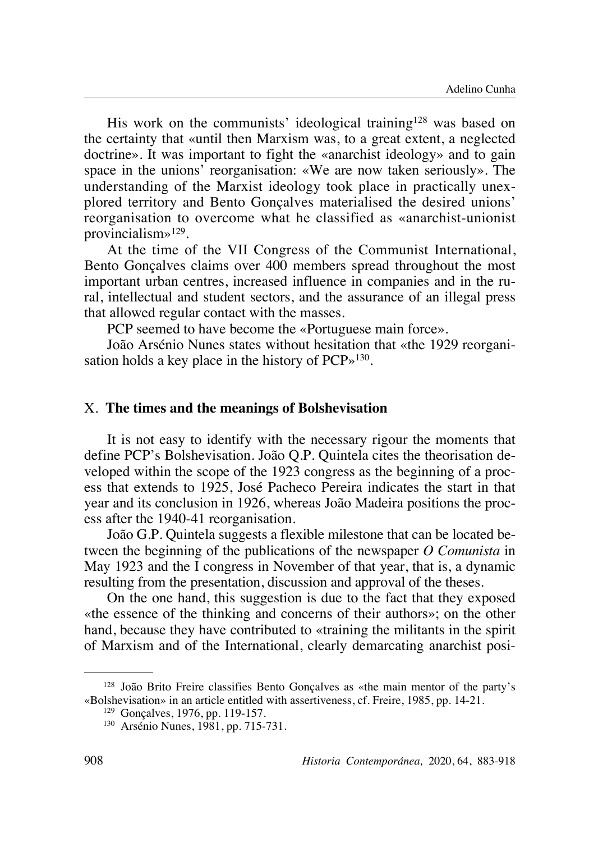His work on the communists' ideological training<sup>128</sup> was based on the certainty that «until then Marxism was, to a great extent, a neglected doctrine». It was important to fight the «anarchist ideology» and to gain space in the unions' reorganisation: «We are now taken seriously». The understanding of the Marxist ideology took place in practically unexplored territory and Bento Gonçalves materialised the desired unions' reorganisation to overcome what he classified as «anarchist-unionist provincialism»129.

At the time of the VII Congress of the Communist International, Bento Gonçalves claims over 400 members spread throughout the most important urban centres, increased influence in companies and in the rural, intellectual and student sectors, and the assurance of an illegal press that allowed regular contact with the masses.

PCP seemed to have become the «Portuguese main force».

João Arsénio Nunes states without hesitation that «the 1929 reorganisation holds a key place in the history of PCP»130.

#### X. **The times and the meanings of Bolshevisation**

It is not easy to identify with the necessary rigour the moments that define PCP's Bolshevisation. João Q.P. Quintela cites the theorisation developed within the scope of the 1923 congress as the beginning of a process that extends to 1925, José Pacheco Pereira indicates the start in that year and its conclusion in 1926, whereas João Madeira positions the process after the 1940-41 reorganisation.

João G.P. Quintela suggests a flexible milestone that can be located between the beginning of the publications of the newspaper *O Comunista* in May 1923 and the I congress in November of that year, that is, a dynamic resulting from the presentation, discussion and approval of the theses.

On the one hand, this suggestion is due to the fact that they exposed «the essence of the thinking and concerns of their authors»; on the other hand, because they have contributed to «training the militants in the spirit of Marxism and of the International, clearly demarcating anarchist posi-

<sup>128</sup> João Brito Freire classifies Bento Gonçalves as «the main mentor of the party's «Bolshevisation» in an article entitled with assertiveness, cf. Freire, 1985, pp. 14-21.

<sup>129</sup> Gonçalves, 1976, pp. 119-157.

<sup>130</sup> Arsénio Nunes, 1981, pp. 715-731.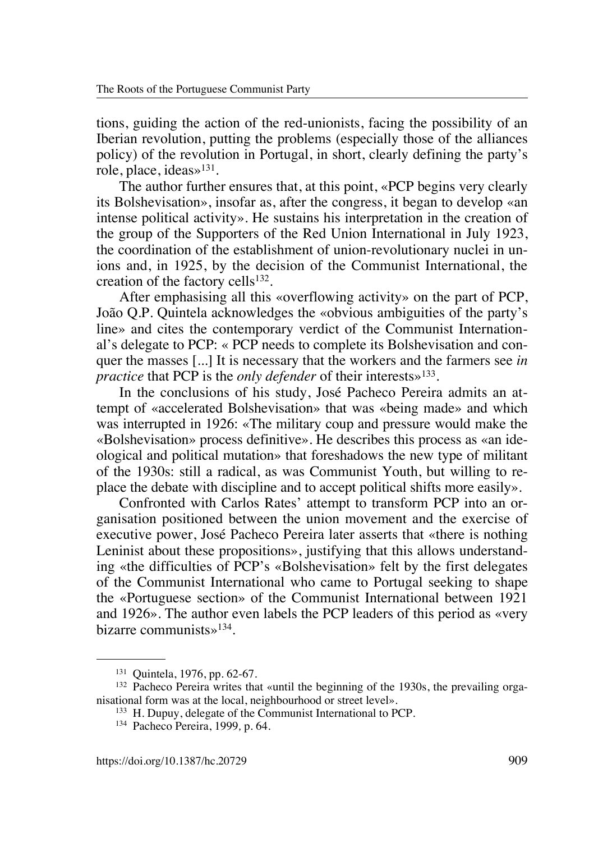tions, guiding the action of the red-unionists, facing the possibility of an Iberian revolution, putting the problems (especially those of the alliances policy) of the revolution in Portugal, in short, clearly defining the party's role, place, ideas»131.

The author further ensures that, at this point, «PCP begins very clearly its Bolshevisation», insofar as, after the congress, it began to develop «an intense political activity». He sustains his interpretation in the creation of the group of the Supporters of the Red Union International in July 1923, the coordination of the establishment of union-revolutionary nuclei in unions and, in 1925, by the decision of the Communist International, the creation of the factory cells $132$ .

After emphasising all this «overflowing activity» on the part of PCP, João Q.P. Quintela acknowledges the «obvious ambiguities of the party's line» and cites the contemporary verdict of the Communist International's delegate to PCP: « PCP needs to complete its Bolshevisation and conquer the masses [...] It is necessary that the workers and the farmers see *in practice* that PCP is the *only defender* of their interests»133.

In the conclusions of his study, José Pacheco Pereira admits an attempt of «accelerated Bolshevisation» that was «being made» and which was interrupted in 1926: «The military coup and pressure would make the «Bolshevisation» process definitive». He describes this process as «an ideological and political mutation» that foreshadows the new type of militant of the 1930s: still a radical, as was Communist Youth, but willing to replace the debate with discipline and to accept political shifts more easily».

Confronted with Carlos Rates' attempt to transform PCP into an organisation positioned between the union movement and the exercise of executive power, José Pacheco Pereira later asserts that «there is nothing Leninist about these propositions», justifying that this allows understanding «the difficulties of PCP's «Bolshevisation» felt by the first delegates of the Communist International who came to Portugal seeking to shape the «Portuguese section» of the Communist International between 1921 and 1926». The author even labels the PCP leaders of this period as «very bizarre communists»134.

<sup>131</sup> Quintela, 1976, pp. 62-67.

<sup>&</sup>lt;sup>132</sup> Pacheco Pereira writes that «until the beginning of the 1930s, the prevailing organisational form was at the local, neighbourhood or street level».

<sup>133</sup> H. Dupuy, delegate of the Communist International to PCP.

<sup>134</sup> Pacheco Pereira, 1999*,* p. 64.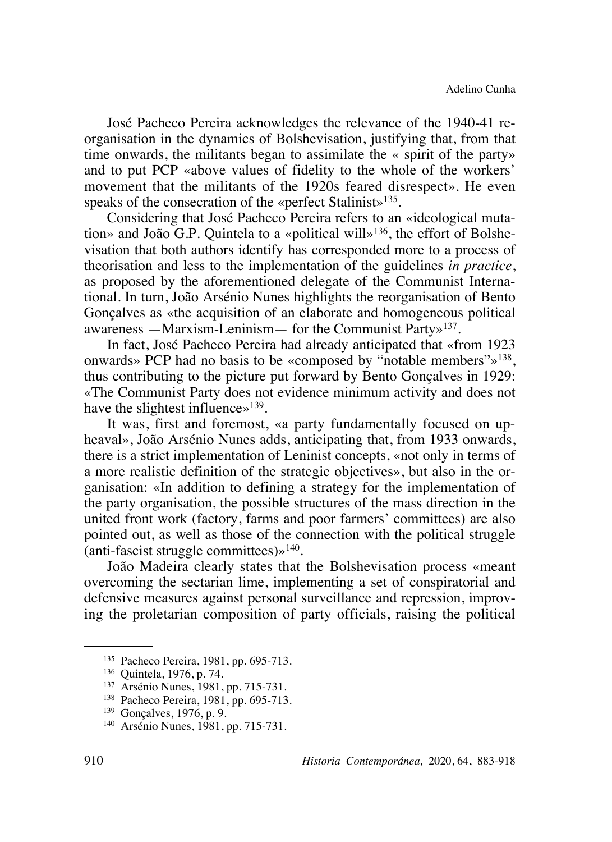José Pacheco Pereira acknowledges the relevance of the 1940-41 reorganisation in the dynamics of Bolshevisation, justifying that, from that time onwards, the militants began to assimilate the « spirit of the party» and to put PCP «above values of fidelity to the whole of the workers' movement that the militants of the 1920s feared disrespect». He even speaks of the consecration of the «perfect Stalinist»<sup>135</sup>.

Considering that José Pacheco Pereira refers to an «ideological mutation» and João G.P. Quintela to a «political will»<sup>136</sup>, the effort of Bolshevisation that both authors identify has corresponded more to a process of theorisation and less to the implementation of the guidelines *in practice*, as proposed by the aforementioned delegate of the Communist International. In turn, João Arsénio Nunes highlights the reorganisation of Bento Gonçalves as «the acquisition of an elaborate and homogeneous political awareness —Marxism-Leninism— for the Communist Party»137.

In fact, José Pacheco Pereira had already anticipated that «from 1923 onwards» PCP had no basis to be «composed by "notable members"»138, thus contributing to the picture put forward by Bento Gonçalves in 1929: «The Communist Party does not evidence minimum activity and does not have the slightest influence»<sup>139</sup>.

It was, first and foremost, «a party fundamentally focused on upheaval», João Arsénio Nunes adds, anticipating that, from 1933 onwards, there is a strict implementation of Leninist concepts, «not only in terms of a more realistic definition of the strategic objectives», but also in the organisation: «In addition to defining a strategy for the implementation of the party organisation, the possible structures of the mass direction in the united front work (factory, farms and poor farmers' committees) are also pointed out, as well as those of the connection with the political struggle (anti-fascist struggle committees) $\frac{140}{140}$ .

João Madeira clearly states that the Bolshevisation process «meant overcoming the sectarian lime, implementing a set of conspiratorial and defensive measures against personal surveillance and repression, improving the proletarian composition of party officials, raising the political

<sup>135</sup> Pacheco Pereira, 1981, pp. 695-713.

<sup>136</sup> Quintela, 1976, p. 74.

<sup>137</sup> Arsénio Nunes, 1981, pp. 715-731.

<sup>138</sup> Pacheco Pereira, 1981, pp. 695-713.

<sup>139</sup> Gonçalves, 1976, p. 9.

<sup>140</sup> Arsénio Nunes, 1981, pp. 715-731.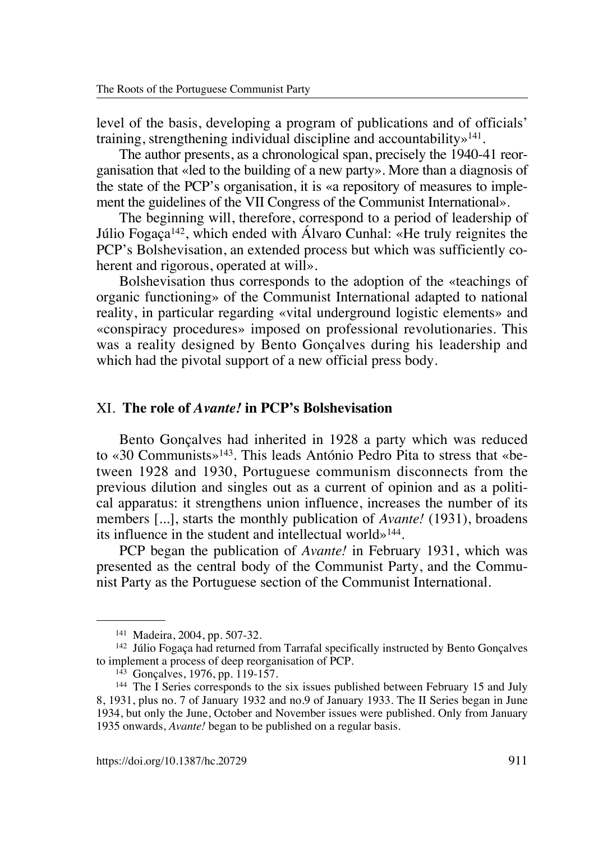level of the basis, developing a program of publications and of officials' training, strengthening individual discipline and accountability»141.

The author presents, as a chronological span, precisely the 1940-41 reorganisation that «led to the building of a new party». More than a diagnosis of the state of the PCP's organisation, it is «a repository of measures to implement the guidelines of the VII Congress of the Communist International».

The beginning will, therefore, correspond to a period of leadership of Júlio Fogaça142, which ended with Álvaro Cunhal: «He truly reignites the PCP's Bolshevisation, an extended process but which was sufficiently coherent and rigorous, operated at will».

Bolshevisation thus corresponds to the adoption of the «teachings of organic functioning» of the Communist International adapted to national reality, in particular regarding «vital underground logistic elements» and «conspiracy procedures» imposed on professional revolutionaries. This was a reality designed by Bento Gonçalves during his leadership and which had the pivotal support of a new official press body.

### XI. **The role of** *Avante!* **in PCP's Bolshevisation**

Bento Gonçalves had inherited in 1928 a party which was reduced to «30 Communists»143. This leads António Pedro Pita to stress that «between 1928 and 1930, Portuguese communism disconnects from the previous dilution and singles out as a current of opinion and as a political apparatus: it strengthens union influence, increases the number of its members [...], starts the monthly publication of *Avante!* (1931), broadens its influence in the student and intellectual world»144.

PCP began the publication of *Avante!* in February 1931, which was presented as the central body of the Communist Party, and the Communist Party as the Portuguese section of the Communist International.

<sup>141</sup> Madeira, 2004, pp. 507-32.

<sup>142</sup> Júlio Fogaça had returned from Tarrafal specifically instructed by Bento Gonçalves to implement a process of deep reorganisation of PCP.

<sup>143</sup> Gonçalves, 1976, pp. 119-157.

<sup>&</sup>lt;sup>144</sup> The I Series corresponds to the six issues published between February 15 and July 8, 1931, plus no. 7 of January 1932 and no.9 of January 1933. The II Series began in June 1934, but only the June, October and November issues were published. Only from January 1935 onwards, *Avante!* began to be published on a regular basis.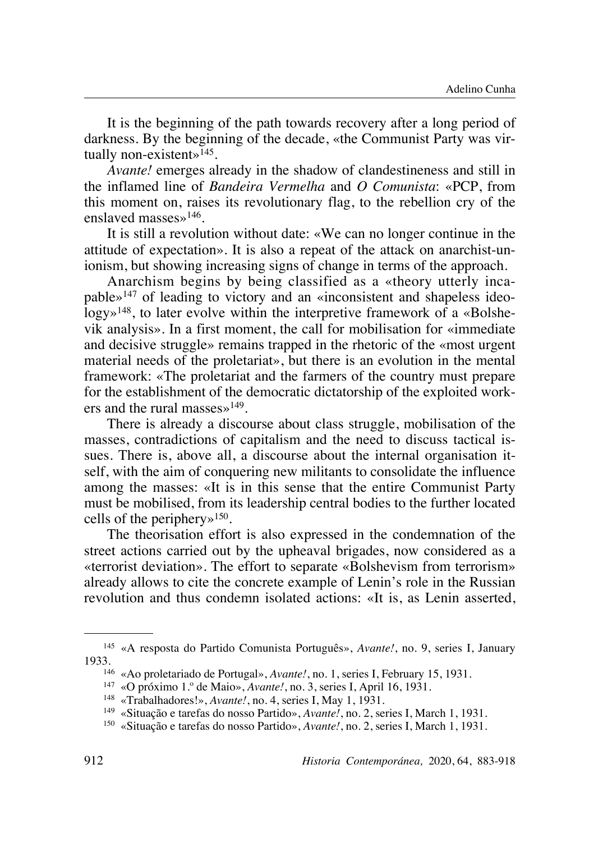It is the beginning of the path towards recovery after a long period of darkness. By the beginning of the decade, «the Communist Party was virtually non-existent $\frac{145}{145}$ .

*Avante!* emerges already in the shadow of clandestineness and still in the inflamed line of *Bandeira Vermelha* and *O Comunista*: «PCP, from this moment on, raises its revolutionary flag, to the rebellion cry of the enslaved masses»146.

It is still a revolution without date: «We can no longer continue in the attitude of expectation». It is also a repeat of the attack on anarchist-unionism, but showing increasing signs of change in terms of the approach.

Anarchism begins by being classified as a «theory utterly incapable»147 of leading to victory and an «inconsistent and shapeless ideology»148, to later evolve within the interpretive framework of a «Bolshevik analysis». In a first moment, the call for mobilisation for «immediate and decisive struggle» remains trapped in the rhetoric of the «most urgent material needs of the proletariat», but there is an evolution in the mental framework: «The proletariat and the farmers of the country must prepare for the establishment of the democratic dictatorship of the exploited workers and the rural masses»149.

There is already a discourse about class struggle, mobilisation of the masses, contradictions of capitalism and the need to discuss tactical issues. There is, above all, a discourse about the internal organisation itself, with the aim of conquering new militants to consolidate the influence among the masses: «It is in this sense that the entire Communist Party must be mobilised, from its leadership central bodies to the further located cells of the periphery»150.

The theorisation effort is also expressed in the condemnation of the street actions carried out by the upheaval brigades, now considered as a «terrorist deviation». The effort to separate «Bolshevism from terrorism» already allows to cite the concrete example of Lenin's role in the Russian revolution and thus condemn isolated actions: «It is, as Lenin asserted,

<sup>145</sup> «A resposta do Partido Comunista Português», *Avante!*, no. 9, series I, January 1933.

<sup>146</sup> «Ao proletariado de Portugal», *Avante!*, no. 1, series I, February 15, 1931.

<sup>147</sup> «O próximo 1.º de Maio», *Avante!*, no. 3, series I, April 16, 1931.

<sup>148</sup> «Trabalhadores!», *Avante!*, no. 4, series I, May 1, 1931.

<sup>149</sup> «Situação e tarefas do nosso Partido», *Avante!*, no. 2, series I, March 1, 1931.

<sup>150</sup> «Situação e tarefas do nosso Partido», *Avante!*, no. 2, series I, March 1, 1931.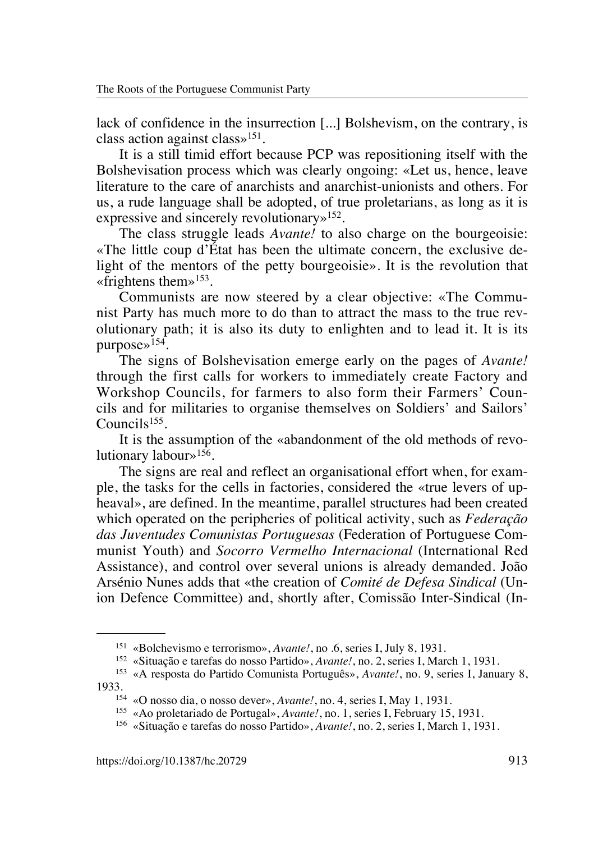lack of confidence in the insurrection [...] Bolshevism, on the contrary, is class action against class»151.

It is a still timid effort because PCP was repositioning itself with the Bolshevisation process which was clearly ongoing: «Let us, hence, leave literature to the care of anarchists and anarchist-unionists and others. For us, a rude language shall be adopted, of true proletarians, as long as it is expressive and sincerely revolutionary<sup>152</sup>.

The class struggle leads *Avante!* to also charge on the bourgeoisie: «The little coup d'État has been the ultimate concern, the exclusive delight of the mentors of the petty bourgeoisie». It is the revolution that «frightens them» $153$ .

Communists are now steered by a clear objective: «The Communist Party has much more to do than to attract the mass to the true revolutionary path; it is also its duty to enlighten and to lead it. It is its purpose»154.

The signs of Bolshevisation emerge early on the pages of *Avante!* through the first calls for workers to immediately create Factory and Workshop Councils, for farmers to also form their Farmers' Councils and for militaries to organise themselves on Soldiers' and Sailors' Councils155.

It is the assumption of the «abandonment of the old methods of revolutionary labour<sup> $>156$ </sup>.

The signs are real and reflect an organisational effort when, for example, the tasks for the cells in factories, considered the «true levers of upheaval», are defined. In the meantime, parallel structures had been created which operated on the peripheries of political activity, such as *Federação das Juventudes Comunistas Portuguesas* (Federation of Portuguese Communist Youth) and *Socorro Vermelho Internacional* (International Red Assistance), and control over several unions is already demanded. João Arsénio Nunes adds that «the creation of *Comité de Defesa Sindical* (Union Defence Committee) and, shortly after, Comissão Inter-Sindical (In-

<sup>151</sup> «Bolchevismo e terrorismo», *Avante!*, no .6, series I, July 8, 1931.

<sup>152</sup> «Situação e tarefas do nosso Partido», *Avante!*, no. 2, series I, March 1, 1931.

<sup>153</sup> «A resposta do Partido Comunista Português», *Avante!*, no. 9, series I, January 8, 1933.

<sup>154</sup> «O nosso dia, o nosso dever», *Avante!*, no. 4, series I, May 1, 1931.

<sup>155</sup> «Ao proletariado de Portugal», *Avante!*, no. 1, series I, February 15, 1931.

<sup>156</sup> «Situação e tarefas do nosso Partido», *Avante!*, no. 2, series I, March 1, 1931.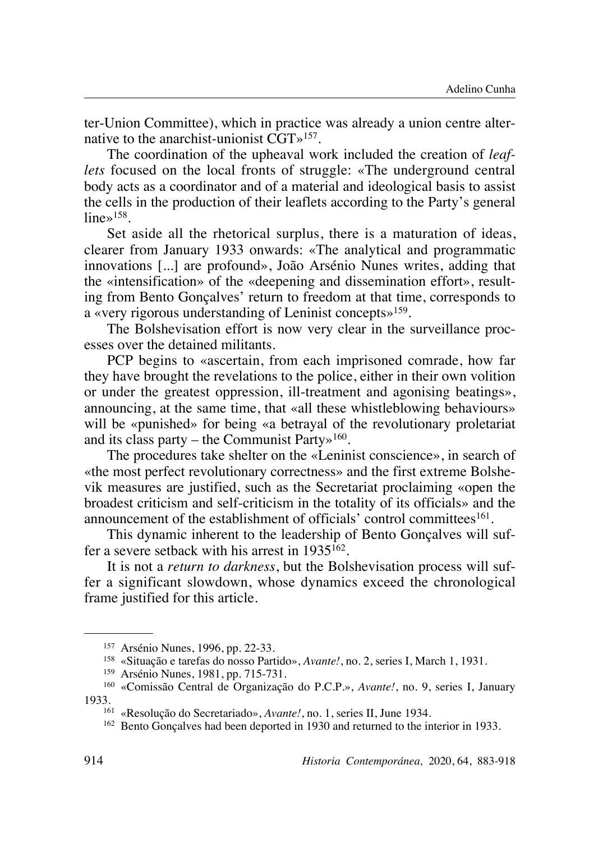ter-Union Committee), which in practice was already a union centre alternative to the anarchist-unionist CGT»157.

The coordination of the upheaval work included the creation of *leaflets* focused on the local fronts of struggle: «The underground central body acts as a coordinator and of a material and ideological basis to assist the cells in the production of their leaflets according to the Party's general  $lines^{158}$ 

Set aside all the rhetorical surplus, there is a maturation of ideas, clearer from January 1933 onwards: «The analytical and programmatic innovations [...] are profound», João Arsénio Nunes writes, adding that the «intensification» of the «deepening and dissemination effort», resulting from Bento Gonçalves' return to freedom at that time, corresponds to a «very rigorous understanding of Leninist concepts»159.

The Bolshevisation effort is now very clear in the surveillance processes over the detained militants.

PCP begins to «ascertain, from each imprisoned comrade, how far they have brought the revelations to the police, either in their own volition or under the greatest oppression, ill-treatment and agonising beatings», announcing, at the same time, that «all these whistleblowing behaviours» will be «punished» for being «a betrayal of the revolutionary proletariat and its class party – the Communist Party $\frac{160}{160}$ .

The procedures take shelter on the «Leninist conscience», in search of «the most perfect revolutionary correctness» and the first extreme Bolshevik measures are justified, such as the Secretariat proclaiming «open the broadest criticism and self-criticism in the totality of its officials» and the announcement of the establishment of officials' control committees  $161$ .

This dynamic inherent to the leadership of Bento Gonçalves will suffer a severe setback with his arrest in 1935162.

It is not a *return to darkness*, but the Bolshevisation process will suffer a significant slowdown, whose dynamics exceed the chronological frame justified for this article.

<sup>157</sup> Arsénio Nunes, 1996, pp. 22-33.

<sup>158</sup> «Situação e tarefas do nosso Partido», *Avante!*, no. 2, series I, March 1, 1931.

<sup>159</sup> Arsénio Nunes, 1981, pp. 715-731.

<sup>160</sup> «Comissão Central de Organização do P.C.P.», *Avante!*, no. 9, series I, January 1933.

<sup>161</sup> «Resolução do Secretariado», *Avante!*, no. 1, series II, June 1934.

<sup>162</sup> Bento Gonçalves had been deported in 1930 and returned to the interior in 1933.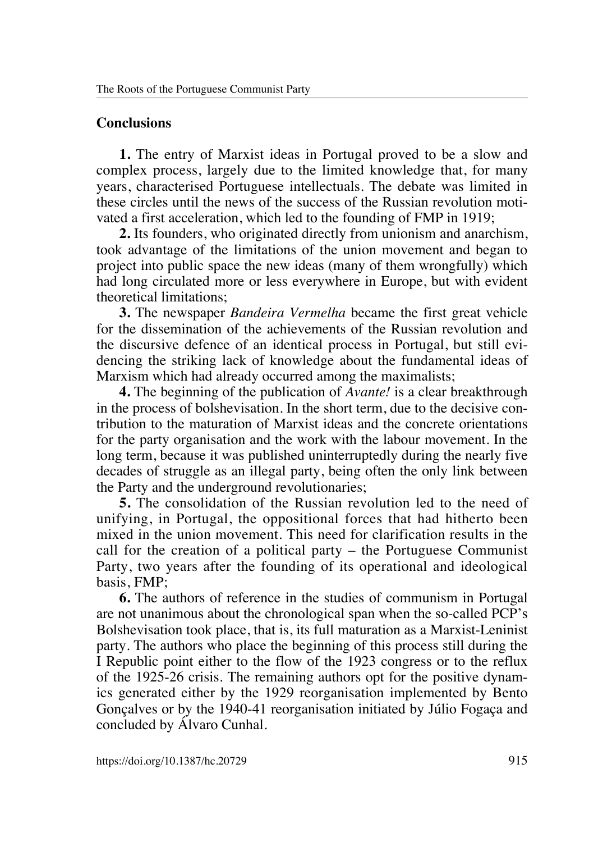## **Conclusions**

**1.** The entry of Marxist ideas in Portugal proved to be a slow and complex process, largely due to the limited knowledge that, for many years, characterised Portuguese intellectuals. The debate was limited in these circles until the news of the success of the Russian revolution motivated a first acceleration, which led to the founding of FMP in 1919;

**2.** Its founders, who originated directly from unionism and anarchism, took advantage of the limitations of the union movement and began to project into public space the new ideas (many of them wrongfully) which had long circulated more or less everywhere in Europe, but with evident theoretical limitations;

**3.** The newspaper *Bandeira Vermelha* became the first great vehicle for the dissemination of the achievements of the Russian revolution and the discursive defence of an identical process in Portugal, but still evidencing the striking lack of knowledge about the fundamental ideas of Marxism which had already occurred among the maximalists;

**4.** The beginning of the publication of *Avante!* is a clear breakthrough in the process of bolshevisation. In the short term, due to the decisive contribution to the maturation of Marxist ideas and the concrete orientations for the party organisation and the work with the labour movement. In the long term, because it was published uninterruptedly during the nearly five decades of struggle as an illegal party, being often the only link between the Party and the underground revolutionaries;

**5.** The consolidation of the Russian revolution led to the need of unifying, in Portugal, the oppositional forces that had hitherto been mixed in the union movement. This need for clarification results in the call for the creation of a political party – the Portuguese Communist Party, two years after the founding of its operational and ideological basis, FMP;

**6.** The authors of reference in the studies of communism in Portugal are not unanimous about the chronological span when the so-called PCP's Bolshevisation took place, that is, its full maturation as a Marxist-Leninist party. The authors who place the beginning of this process still during the I Republic point either to the flow of the 1923 congress or to the reflux of the 1925-26 crisis. The remaining authors opt for the positive dynamics generated either by the 1929 reorganisation implemented by Bento Gonçalves or by the 1940-41 reorganisation initiated by Júlio Fogaça and concluded by Álvaro Cunhal.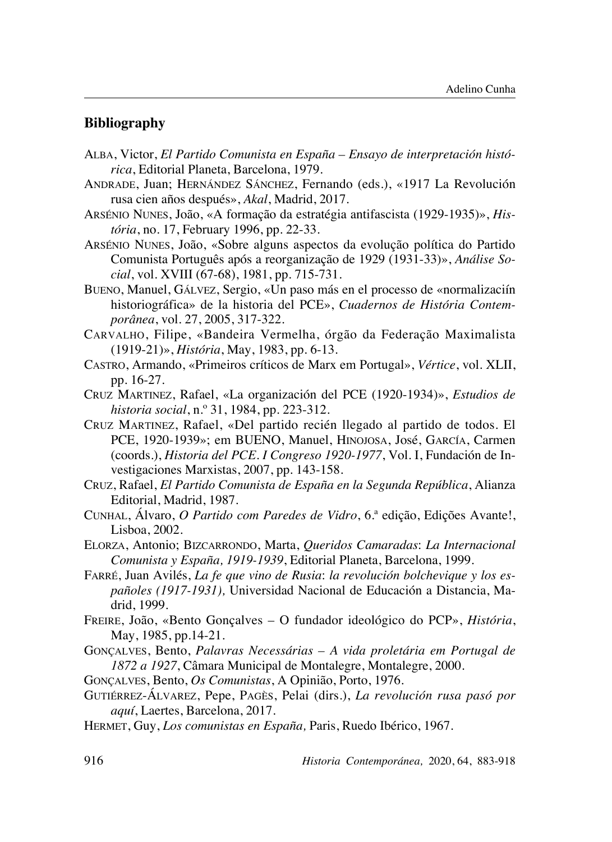### **Bibliography**

- Alba, Victor, *El Partido Comunista en España Ensayo de interpretación histórica*, Editorial Planeta, Barcelona, 1979.
- Andrade, Juan; Hernández Sánchez, Fernando (eds.), «1917 La Revolución rusa cien años después», *Akal*, Madrid, 2017.
- Arsénio Nunes, João, «A formação da estratégia antifascista (1929-1935)», *História*, no. 17, February 1996, pp. 22-33.
- Arsénio Nunes, João, «Sobre alguns aspectos da evolução política do Partido Comunista Português após a reorganização de 1929 (1931-33)», *Análise Social*, vol. XVIII (67-68), 1981, pp. 715-731.
- Bueno, Manuel, Gálvez, Sergio, «Un paso más en el processo de «normalizaciín historiográfica» de la historia del PCE», *Cuadernos de História Contemporânea*, vol. 27, 2005, 317-322.
- Carvalho, Filipe, «Bandeira Vermelha, órgão da Federação Maximalista (1919-21)», *História*, May, 1983, pp. 6-13.
- Castro, Armando, «Primeiros críticos de Marx em Portugal», *Vértice*, vol. XLII, pp. 16-27.
- Cruz Martinez, Rafael, «La organización del PCE (1920-1934)», *Estudios de historia social*, n.º 31, 1984, pp. 223-312.
- Cruz Martinez, Rafael, «Del partido recién llegado al partido de todos. El PCE, 1920-1939»; em BUENO, Manuel, Hinojosa, José, García, Carmen (coords.), *Historia del PCE. I Congreso 1920-1977*, Vol. I, Fundación de Investigaciones Marxistas, 2007, pp. 143-158.
- Cruz, Rafael, *El Partido Comunista de España en la Segunda República*, Alianza Editorial, Madrid, 1987.
- Cunhal, Álvaro, *O Partido com Paredes de Vidro*, 6.ª edição, Edições Avante!, Lisboa, 2002.
- Elorza, Antonio; Bizcarrondo, Marta, *Queridos Camaradas*: *La Internacional Comunista y España, 1919-1939*, Editorial Planeta, Barcelona, 1999.
- Farré, Juan Avilés, *La fe que vino de Rusia*: *la revolución bolchevique y los españoles (1917-1931),* Universidad Nacional de Educación a Distancia, Madrid, 1999.
- Freire, João, «Bento Gonçalves O fundador ideológico do PCP», *História*, May, 1985, pp.14-21.
- Gonçalves, Bento, *Palavras Necessárias A vida proletária em Portugal de 1872 a 1927*, Câmara Municipal de Montalegre, Montalegre, 2000.
- Gonçalves, Bento, *Os Comunistas*, A Opinião, Porto, 1976.
- Gutiérrez-Álvarez, Pepe, Pagès, Pelai (dirs.), *La revolución rusa pasó por aquí*, Laertes, Barcelona, 2017.
- Hermet, Guy, *Los comunistas en España,* Paris, Ruedo Ibérico, 1967.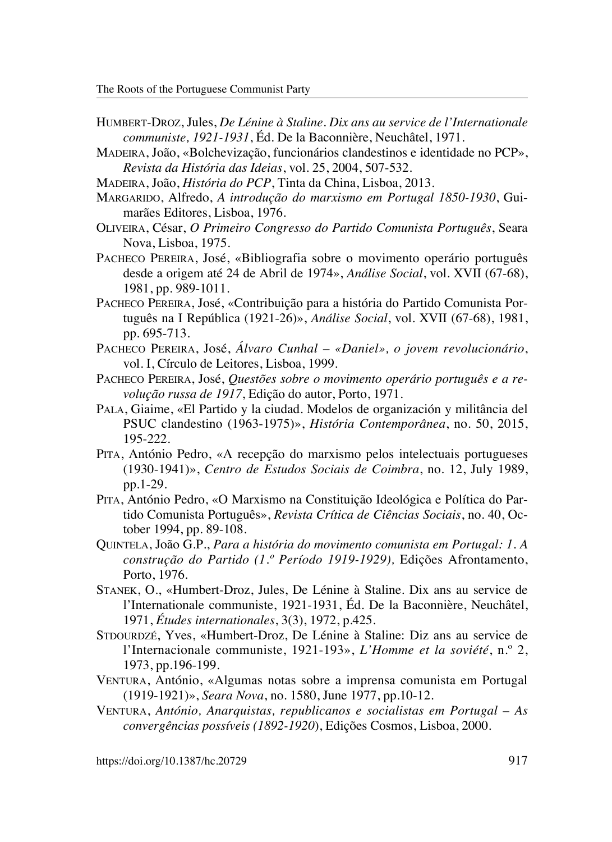- Humbert-Droz, Jules, *De Lénine à Staline. Dix ans au service de l'Internationale communiste, 1921-1931*, Éd. De la Baconnière, Neuchâtel, 1971.
- Madeira, João, «Bolchevização, funcionários clandestinos e identidade no PCP», *Revista da História das Ideias*, vol. 25, 2004, 507-532.
- Madeira, João, *História do PCP*, Tinta da China, Lisboa, 2013.
- Margarido, Alfredo, *A introdução do marxismo em Portugal 1850-1930*, Guimarães Editores, Lisboa, 1976.
- Oliveira, César, *O Primeiro Congresso do Partido Comunista Português*, Seara Nova, Lisboa, 1975.
- PACHECO PEREIRA, José, «Bibliografia sobre o movimento operário português desde a origem até 24 de Abril de 1974», *Análise Social*, vol. XVII (67-68), 1981, pp. 989-1011.
- PACHECO PEREIRA, José, «Contribuição para a história do Partido Comunista Português na I República (1921-26)», *Análise Social*, vol. XVII (67-68), 1981, pp. 695-713.
- Pacheco Pereira, José, *Álvaro Cunhal «Daniel», o jovem revolucionário*, vol. I, Círculo de Leitores, Lisboa, 1999.
- Pacheco Pereira, José, *Questões sobre o movimento operário português e a revolução russa de 1917*, Edição do autor, Porto, 1971.
- Pala, Giaime, «El Partido y la ciudad. Modelos de organización y militância del PSUC clandestino (1963-1975)», *História Contemporânea*, no. 50, 2015, 195-222.
- Pita, António Pedro, «A recepção do marxismo pelos intelectuais portugueses (1930-1941)», *Centro de Estudos Sociais de Coimbra*, no. 12, July 1989, pp.1-29.
- Pita, António Pedro, «O Marxismo na Constituição Ideológica e Política do Partido Comunista Português», *Revista Crítica de Ciências Sociais*, no. 40, October 1994, pp. 89-108.
- Quintela, João G.P., *Para a história do movimento comunista em Portugal: 1. A construção do Partido (1.º Período 1919-1929),* Edições Afrontamento, Porto, 1976.
- Stanek, O., «Humbert-Droz, Jules, De Lénine à Staline. Dix ans au service de l'Internationale communiste, 1921-1931, Éd. De la Baconnière, Neuchâtel, 1971, *Études internationales*, 3(3), 1972, p.425.
- STDOURDZÉ, Yves, «Humbert-Droz, De Lénine à Staline: Diz ans au service de l'Internacionale communiste, 1921-193», *L'Homme et la soviété*, n.º 2, 1973, pp.196-199.
- Ventura, António, «Algumas notas sobre a imprensa comunista em Portugal (1919-1921)», *Seara Nova*, no. 1580, June 1977, pp.10-12.
- Ventura, *António, Anarquistas, republicanos e socialistas em Portugal As convergências possíveis (1892-1920*), Edições Cosmos, Lisboa, 2000.

https://doi.org/10.1387/hc.20729 917